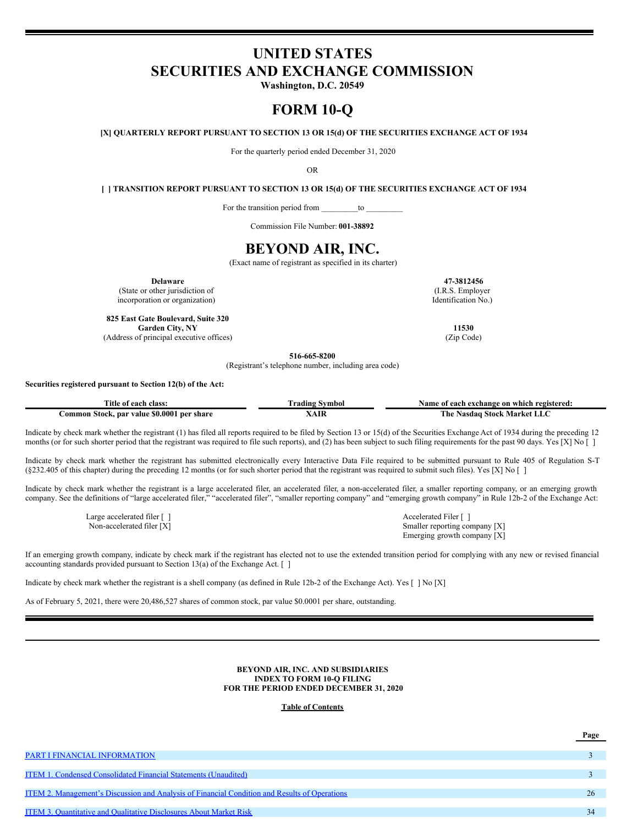# **UNITED STATES SECURITIES AND EXCHANGE COMMISSION**

**Washington, D.C. 20549**

# **FORM 10-Q**

**[X] QUARTERLY REPORT PURSUANT TO SECTION 13 OR 15(d) OF THE SECURITIES EXCHANGE ACT OF 1934**

For the quarterly period ended December 31, 2020

OR

**[ ] TRANSITION REPORT PURSUANT TO SECTION 13 OR 15(d) OF THE SECURITIES EXCHANGE ACT OF 1934**

For the transition period from \_\_\_\_\_\_\_\_\_to \_\_\_\_\_\_\_\_\_

Commission File Number: **001-38892**

# **BEYOND AIR, INC.**

(Exact name of registrant as specified in its charter)

**Delaware 47-3812456** (State or other jurisdiction of incorporation or organization)

**825 East Gate Boulevard, Suite 320 Garden City, NY 11530** (Address of principal executive offices) (Zip Code)

(I.R.S. Employer Identification No.)

**516-665-8200**

(Registrant's telephone number, including area code)

# **Securities registered pursuant to Section 12(b) of the Act:**

| class.<br>ntle of<br>each                                             | Svmbo.<br>radıng |                                  |  |  |  |
|-----------------------------------------------------------------------|------------------|----------------------------------|--|--|--|
| 000°، ،<br>per share<br>ommon<br><sup>.</sup> value<br>. nar<br>stoc' |                  | The<br>Market<br>Stock<br>Nasdaɑ |  |  |  |

Indicate by check mark whether the registrant (1) has filed all reports required to be filed by Section 13 or 15(d) of the Securities Exchange Act of 1934 during the preceding 12 months (or for such shorter period that the registrant was required to file such reports), and (2) has been subject to such filing requirements for the past 90 days. Yes [X] No []

Indicate by check mark whether the registrant has submitted electronically every Interactive Data File required to be submitted pursuant to Rule 405 of Regulation S-T (§232.405 of this chapter) during the preceding 12 months (or for such shorter period that the registrant was required to submit such files). Yes [X] No [ ]

Indicate by check mark whether the registrant is a large accelerated filer, an accelerated filer, a non-accelerated filer, a smaller reporting company, or an emerging growth company. See the definitions of "large accelerated filer," "accelerated filer", "smaller reporting company" and "emerging growth company" in Rule 12b-2 of the Exchange Act:

Large accelerated filer [ ] Accelerated Filer [ ]

Non-accelerated filer [X] Smaller reporting company [X] Emerging growth company [X]

If an emerging growth company, indicate by check mark if the registrant has elected not to use the extended transition period for complying with any new or revised financial accounting standards provided pursuant to Section 13(a) of the Exchange Act. [ ]

Indicate by check mark whether the registrant is a shell company (as defined in Rule 12b-2 of the Exchange Act). Yes [ ] No [X]

As of February 5, 2021, there were 20,486,527 shares of common stock, par value \$0.0001 per share, outstanding.

### **BEYOND AIR, INC. AND SUBSIDIARIES INDEX TO FORM 10-Q FILING FOR THE PERIOD ENDED DECEMBER 31, 2020**

## **Table of Contents**

|                                                                                                      | <u>Page</u> |
|------------------------------------------------------------------------------------------------------|-------------|
|                                                                                                      |             |
| PART I FINANCIAL INFORMATION                                                                         |             |
|                                                                                                      |             |
| <b>ITEM 1. Condensed Consolidated Financial Statements (Unaudited)</b>                               |             |
|                                                                                                      |             |
| <u>ITEM 2. Management's Discussion and Analysis of Financial Condition and Results of Operations</u> | 26          |
|                                                                                                      |             |
| <b>ITEM 3. Quantitative and Qualitative Disclosures About Market Risk</b>                            |             |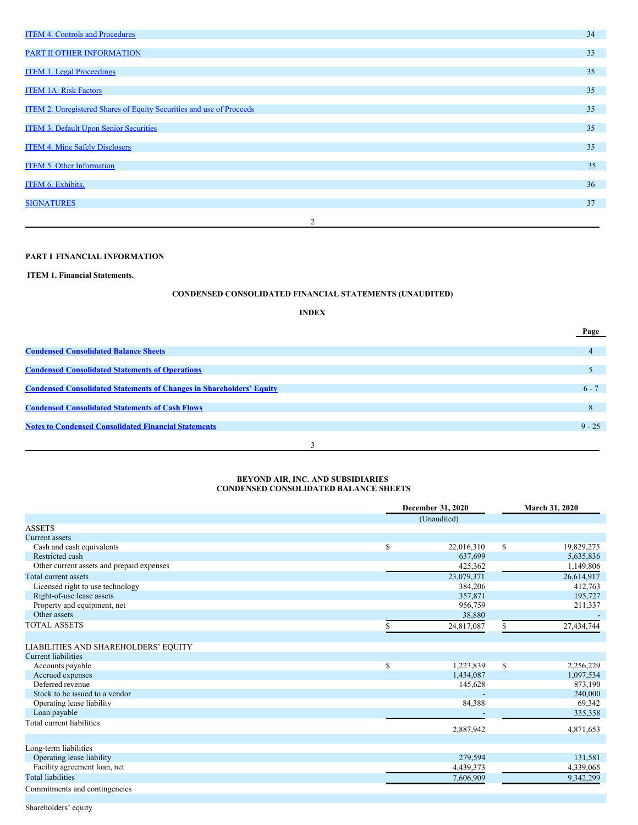| <b>ITEM 4. Controls and Procedures</b>                               |                | 34 |
|----------------------------------------------------------------------|----------------|----|
| PART II OTHER INFORMATION                                            |                | 35 |
|                                                                      |                |    |
| <b>ITEM 1. Legal Proceedings</b>                                     |                | 35 |
| <b>ITEM 1A. Risk Factors</b>                                         |                | 35 |
|                                                                      |                |    |
| ITEM 2. Unregistered Shares of Equity Securities and use of Proceeds |                | 35 |
| <b>ITEM 3. Default Upon Senior Securities</b>                        |                | 35 |
| <b>ITEM 4. Mine Safely Disclosers</b>                                |                | 35 |
|                                                                      |                |    |
| <b>ITEM.5. Other Information</b>                                     |                | 35 |
| <b>ITEM 6. Exhibits.</b>                                             |                | 36 |
| <b>SIGNATURES</b>                                                    |                | 37 |
|                                                                      |                |    |
|                                                                      | $\overline{2}$ |    |

# <span id="page-1-0"></span>**PART I FINANCIAL INFORMATION**

<span id="page-1-1"></span>**ITEM 1. Financial Statements.**

# **CONDENSED CONSOLIDATED FINANCIAL STATEMENTS (UNAUDITED)**

# **INDEX**

|                                                                             | Page     |  |
|-----------------------------------------------------------------------------|----------|--|
|                                                                             |          |  |
| <b>Condensed Consolidated Balance Sheets</b>                                |          |  |
|                                                                             |          |  |
| <b>Condensed Consolidated Statements of Operations</b>                      |          |  |
|                                                                             |          |  |
| <b>Condensed Consolidated Statements of Changes in Shareholders' Equity</b> | $6 - 7$  |  |
| <b>Condensed Consolidated Statements of Cash Flows</b>                      | 8        |  |
|                                                                             |          |  |
| <b>Notes to Condensed Consolidated Financial Statements</b>                 | $9 - 25$ |  |
|                                                                             |          |  |
|                                                                             |          |  |

# <span id="page-1-2"></span>**BEYOND AIR, INC. AND SUBSIDIARIES CONDENSED CONSOLIDATED BALANCE SHEETS**

| (Unaudited)<br><b>ASSETS</b><br><b>Current</b> assets<br>$\mathbb{S}$<br>\$<br>Cash and cash equivalents<br>22,016,310<br>19,829,275<br>Restricted cash<br>637,699<br>5,635,836<br>Other current assets and prepaid expenses<br>1,149,806<br>425,362 |
|------------------------------------------------------------------------------------------------------------------------------------------------------------------------------------------------------------------------------------------------------|
|                                                                                                                                                                                                                                                      |
|                                                                                                                                                                                                                                                      |
|                                                                                                                                                                                                                                                      |
|                                                                                                                                                                                                                                                      |
|                                                                                                                                                                                                                                                      |
|                                                                                                                                                                                                                                                      |
| 23,079,371<br>26,614,917<br>Total current assets                                                                                                                                                                                                     |
| Licensed right to use technology<br>384,206<br>412,763                                                                                                                                                                                               |
| Right-of-use lease assets<br>357,871<br>195,727                                                                                                                                                                                                      |
| Property and equipment, net<br>956,759<br>211,337                                                                                                                                                                                                    |
| Other assets<br>38,880                                                                                                                                                                                                                               |
| <b>TOTAL ASSETS</b><br>27,434,744<br>24,817,087<br>\$                                                                                                                                                                                                |
|                                                                                                                                                                                                                                                      |
| LIABILITIES AND SHAREHOLDERS' EQUITY                                                                                                                                                                                                                 |
| <b>Current liabilities</b>                                                                                                                                                                                                                           |
| \$<br>\$<br>1,223,839<br>2,256,229<br>Accounts payable                                                                                                                                                                                               |
| Accrued expenses<br>1,434,087<br>1,097,534                                                                                                                                                                                                           |
| Deferred revenue<br>145,628<br>873,190                                                                                                                                                                                                               |
| Stock to be issued to a vendor<br>240,000                                                                                                                                                                                                            |
| 84,388<br>Operating lease liability<br>69,342                                                                                                                                                                                                        |
| Loan payable<br>335,358                                                                                                                                                                                                                              |
| Total current liabilities<br>4,871,653                                                                                                                                                                                                               |
| 2,887,942                                                                                                                                                                                                                                            |
| Long-term liabilities                                                                                                                                                                                                                                |
| Operating lease liability<br>279,594<br>131,581                                                                                                                                                                                                      |
| Facility agreement loan, net<br>4,339,065<br>4,439,373                                                                                                                                                                                               |
| <b>Total liabilities</b><br>7,606,909<br>9,342,299                                                                                                                                                                                                   |
| Commitments and contingencies                                                                                                                                                                                                                        |

Shareholders' equity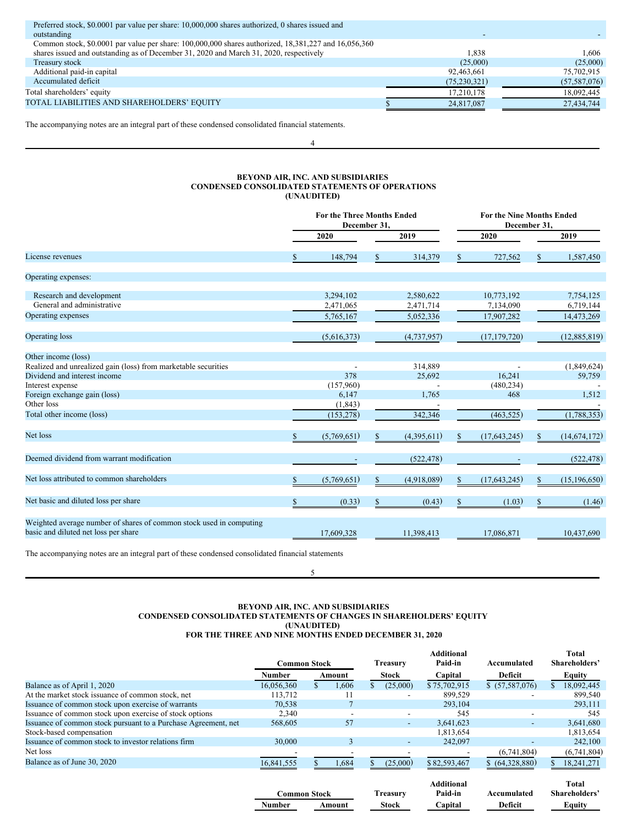| 1,838          | 1.606          |
|----------------|----------------|
| (25,000)       | (25,000)       |
| 92,463,661     | 75,702,915     |
| (75, 230, 321) | (57, 587, 076) |
| 17,210,178     | 18,092,445     |
| 24,817,087     | 27,434,744     |
|                |                |

The accompanying notes are an integral part of these condensed consolidated financial statements.

4

# <span id="page-2-0"></span>**BEYOND AIR, INC. AND SUBSIDIARIES CONDENSED CONSOLIDATED STATEMENTS OF OPERATIONS (UNAUDITED)**

|                                                                                                             |              |             | <b>For the Three Months Ended</b><br>December 31, |             |      |                | <b>For the Nine Months Ended</b><br>December 31. |                |  |
|-------------------------------------------------------------------------------------------------------------|--------------|-------------|---------------------------------------------------|-------------|------|----------------|--------------------------------------------------|----------------|--|
|                                                                                                             |              | 2020        |                                                   | 2019        |      | 2020           |                                                  | 2019           |  |
| License revenues                                                                                            |              | 148,794     | \$                                                | 314,379     | S    | 727,562        | S                                                | 1,587,450      |  |
| Operating expenses:                                                                                         |              |             |                                                   |             |      |                |                                                  |                |  |
| Research and development                                                                                    |              | 3,294,102   |                                                   | 2,580,622   |      | 10,773,192     |                                                  | 7,754,125      |  |
| General and administrative                                                                                  |              | 2,471,065   |                                                   | 2,471,714   |      | 7,134,090      |                                                  | 6,719,144      |  |
| Operating expenses                                                                                          |              | 5,765,167   |                                                   | 5,052,336   |      | 17,907,282     |                                                  | 14,473,269     |  |
| Operating loss                                                                                              |              | (5,616,373) |                                                   | (4,737,957) |      | (17, 179, 720) |                                                  | (12,885,819)   |  |
| Other income (loss)                                                                                         |              |             |                                                   |             |      |                |                                                  |                |  |
| Realized and unrealized gain (loss) from marketable securities                                              |              |             |                                                   | 314,889     |      |                |                                                  | (1,849,624)    |  |
| Dividend and interest income                                                                                |              | 378         |                                                   | 25,692      |      | 16,241         |                                                  | 59,759         |  |
| Interest expense                                                                                            |              | (157,960)   |                                                   |             |      | (480, 234)     |                                                  |                |  |
| Foreign exchange gain (loss)                                                                                |              | 6,147       |                                                   | 1,765       |      | 468            |                                                  | 1,512          |  |
| Other loss                                                                                                  |              | (1, 843)    |                                                   |             |      |                |                                                  |                |  |
| Total other income (loss)                                                                                   |              | (153, 278)  |                                                   | 342,346     |      | (463, 525)     |                                                  | (1,788,353)    |  |
| Net loss                                                                                                    | \$           | (5,769,651) | $\mathbb{S}$                                      | (4,395,611) | \$   | (17,643,245)   | $\mathbb{S}$                                     | (14, 674, 172) |  |
| Deemed dividend from warrant modification                                                                   |              |             |                                                   | (522, 478)  |      |                |                                                  | (522, 478)     |  |
| Net loss attributed to common shareholders                                                                  |              | (5,769,651) | $\mathbb{S}$                                      | (4,918,089) | \$   | (17, 643, 245) | \$                                               | (15, 196, 650) |  |
| Net basic and diluted loss per share                                                                        | $\mathbb{S}$ | (0.33)      | $\mathbb{S}$                                      | (0.43)      | $\$$ | (1.03)         | $\mathbb{S}$                                     | (1.46)         |  |
| Weighted average number of shares of common stock used in computing<br>basic and diluted net loss per share |              | 17,609,328  |                                                   | 11,398,413  |      | 17.086.871     |                                                  | 10,437,690     |  |

The accompanying notes are an integral part of these condensed consolidated financial statements

<span id="page-2-1"></span>5

# **BEYOND AIR, INC. AND SUBSIDIARIES CONDENSED CONSOLIDATED STATEMENTS OF CHANGES IN SHAREHOLDERS' EQUITY (UNAUDITED) FOR THE THREE AND NINE MONTHS ENDED DECEMBER 31, 2020**

|                                                                | <b>Common Stock</b> |  |        |  | Treasury                 | <b>Additional</b><br>Paid-in | Accumulated              | <b>Total</b><br>Shareholders' |              |         |         |               |
|----------------------------------------------------------------|---------------------|--|--------|--|--------------------------|------------------------------|--------------------------|-------------------------------|--------------|---------|---------|---------------|
|                                                                | Number              |  | Amount |  | <b>Stock</b>             | Capital                      | Deficit                  | Equity                        |              |         |         |               |
| Balance as of April 1, 2020                                    | 16.056.360          |  | 1.606  |  | (25,000)                 | \$75,702,915                 | \$ (57, 587, 076)        | 18,092,445                    |              |         |         |               |
| At the market stock issuance of common stock, net              | 113,712             |  |        |  |                          | 899,529                      |                          | 899,540                       |              |         |         |               |
| Issuance of common stock upon exercise of warrants             | 70,538              |  |        |  |                          | 293,104                      |                          | 293,111                       |              |         |         |               |
| Issuance of common stock upon exercise of stock options        | 2,340               |  | -      |  |                          | 545                          |                          | 545                           |              |         |         |               |
| Issuance of common stock pursuant to a Purchase Agreement, net | 568,605             |  | 57     |  | $\overline{\phantom{a}}$ | 3,641,623                    | $\overline{\phantom{a}}$ | 3,641,680                     |              |         |         |               |
| Stock-based compensation                                       |                     |  |        |  |                          | 1,813,654                    |                          | 1,813,654                     |              |         |         |               |
| Issuance of common stock to investor relations firm            | 30,000              |  | 3      |  | $\overline{\phantom{0}}$ | 242,097                      |                          | 242,100                       |              |         |         |               |
| Net loss                                                       |                     |  |        |  |                          |                              | (6,741,804)              | (6,741,804)                   |              |         |         |               |
| Balance as of June 30, 2020                                    | 16,841,555          |  | 1,684  |  | (25,000)                 | \$82,593,467                 | \$ (64,328,880)          | 18,241,271                    |              |         |         |               |
|                                                                | <b>Common Stock</b> |  |        |  | Treasury                 | <b>Additional</b><br>Paid-in | Accumulated              | Total<br>Shareholders'        |              |         |         |               |
|                                                                | Number              |  | Amount |  |                          |                              |                          |                               | <b>Stock</b> | Capital | Deficit | <b>Equity</b> |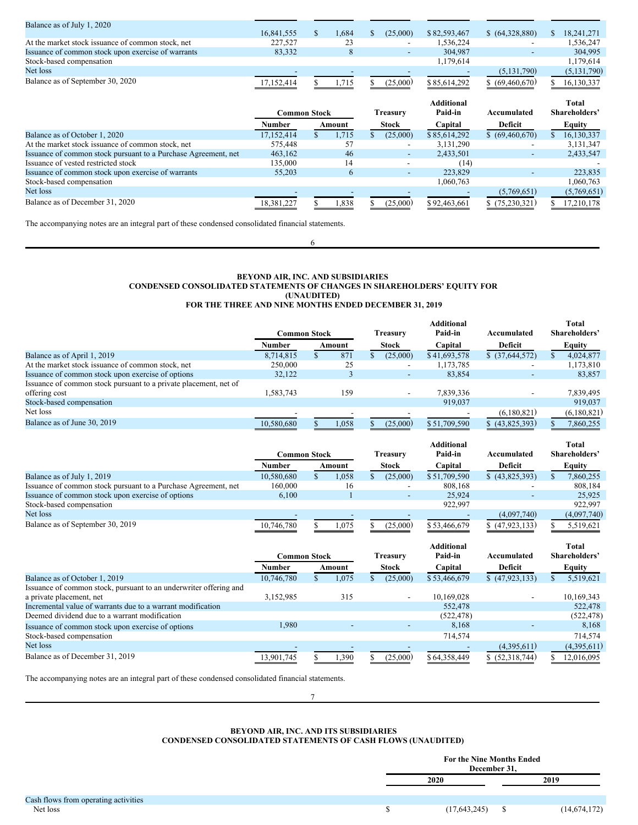| Balance as of July 1, 2020                         |            |       |                          |              |                          |               |
|----------------------------------------------------|------------|-------|--------------------------|--------------|--------------------------|---------------|
|                                                    | 16.841.555 | .684  | (25,000)                 | \$82,593,467 | \$ (64.328.880)          | 18.241.271    |
| At the market stock issuance of common stock, net  | 227,527    | 23    | -                        | .536,224     | $\overline{\phantom{a}}$ | 1,536,247     |
| Issuance of common stock upon exercise of warrants | 83.332     |       | $\overline{\phantom{0}}$ | 304,987      | $\overline{\phantom{a}}$ | 304.995       |
| Stock-based compensation                           |            |       |                          | 1,179,614    |                          | 1,179,614     |
| Net loss                                           |            |       |                          |              | (5, 131, 790)            | (5, 131, 790) |
| Balance as of September 30, 2020                   | 17.152.414 | . 715 | (25,000)                 | \$85,614,292 | \$ (69,460,670)          | 16,130,337    |

|                                                                |              |        |                 |                          | <b>Additional</b> |                   |               | <b>Total</b> |
|----------------------------------------------------------------|--------------|--------|-----------------|--------------------------|-------------------|-------------------|---------------|--------------|
|                                                                | Common Stock |        | <b>Treasury</b> |                          | Paid-in           | Accumulated       | Shareholders' |              |
|                                                                | Number       | Amount |                 | <b>Stock</b>             | Capital           | Deficit           |               | Equity       |
| Balance as of October 1, 2020                                  | 17,152,414   | 1,715  |                 | (25,000)                 | \$85,614,292      | \$ (69, 460, 670) |               | 16,130,337   |
| At the market stock issuance of common stock, net              | 575.448      | 57     |                 | $\overline{\phantom{a}}$ | 3, 131, 290       | ٠                 |               | 3,131,347    |
| Issuance of common stock pursuant to a Purchase Agreement, net | 463,162      | 46     |                 | $\overline{\phantom{a}}$ | 2,433,501         | ٠                 |               | 2,433,547    |
| Issuance of vested restricted stock                            | 135,000      | 14     |                 | -                        | (14)              |                   |               |              |
| Issuance of common stock upon exercise of warrants             | 55,203       | 6      |                 | $\overline{\phantom{a}}$ | 223,829           |                   |               | 223,835      |
| Stock-based compensation                                       |              |        |                 |                          | 1,060,763         |                   |               | 1,060,763    |
| Net loss                                                       |              |        |                 |                          |                   | (5,769,651)       |               | (5,769,651)  |
| Balance as of December 31, 2020                                | 18,381,227   | 1,838  |                 | (25,000)                 | \$92,463,661      | \$(75,230,321)    |               | 17,210,178   |

The accompanying notes are an integral part of these condensed consolidated financial statements.

# **BEYOND AIR, INC. AND SUBSIDIARIES CONDENSED CONSOLIDATED STATEMENTS OF CHANGES IN SHAREHOLDERS' EQUITY FOR (UNAUDITED) FOR THE THREE AND NINE MONTHS ENDED DECEMBER 31, 2019**

6

|                                                                  |              |        |                 |                          | <b>Additional</b> |                          | <b>Total</b>  |
|------------------------------------------------------------------|--------------|--------|-----------------|--------------------------|-------------------|--------------------------|---------------|
|                                                                  | Common Stock |        | <b>Treasury</b> |                          | Paid-in           | Accumulated              | Shareholders' |
|                                                                  | Number       | Amount |                 | <b>Stock</b>             | Capital           | Deficit                  | <b>Equity</b> |
| Balance as of April 1, 2019                                      | 8.714.815    | 871    |                 | (25,000)                 | \$41,693,578      | \$ (37,644,572)          | 4,024,877     |
| At the market stock issuance of common stock, net                | 250,000      | 25     |                 | $\overline{\phantom{a}}$ | 1,173,785         | $\overline{\phantom{a}}$ | 1,173,810     |
| Issuance of common stock upon exercise of options                | 32.122       |        |                 | $\overline{\phantom{a}}$ | 83,854            | -                        | 83.857        |
| Issuance of common stock pursuant to a private placement, net of |              |        |                 |                          |                   |                          |               |
| offering cost                                                    | 1,583,743    | 159    |                 | $\overline{\phantom{a}}$ | 7,839,336         | -                        | 7,839,495     |
| Stock-based compensation                                         |              |        |                 |                          | 919,037           |                          | 919.037       |
| Net loss                                                         |              |        |                 |                          |                   | (6,180,821)              | (6,180,821)   |
| Balance as of June 30, 2019                                      | 10.580.680   | l.058  |                 | (25,000)                 | \$51,709,590      | \$ (43.825.393)          | 7.860.255     |

|                                                                | Common Stock |        |                          |                          | <b>Additional</b><br>Paid-in | Accumulated              | <b>Total</b><br>Shareholders' |
|----------------------------------------------------------------|--------------|--------|--------------------------|--------------------------|------------------------------|--------------------------|-------------------------------|
|                                                                | Number       | Amount | Treasurv<br><b>Stock</b> |                          | Capital                      | Deficit                  | Equity                        |
| Balance as of July 1, 2019                                     | 10.580.680   | 1,058  |                          | (25,000)                 | \$51,709,590                 | (43,825,393)             | 7,860,255                     |
| Issuance of common stock pursuant to a Purchase Agreement, net | 160,000      | 16     |                          | $\overline{\phantom{0}}$ | 808.168                      | -                        | 808,184                       |
| Issuance of common stock upon exercise of options              | 6,100        |        |                          | -                        | 25,924                       | $\overline{\phantom{a}}$ | 25,925                        |
| Stock-based compensation                                       |              |        |                          |                          | 922.997                      |                          | 922.997                       |
| Net loss                                                       |              |        |                          |                          |                              | (4,097,740)              | (4,097,740)                   |
| Balance as of September 30, 2019                               | 10,746,780   | l.075  |                          | (25.000)                 | \$53,466,679                 | \$(47.923.133)           | 5.519.621                     |

|                                                                   | Common Stock |        | Treasury | <b>Additional</b><br>Paid-in | Accumulated     | <b>Total</b><br>Shareholders' |
|-------------------------------------------------------------------|--------------|--------|----------|------------------------------|-----------------|-------------------------------|
|                                                                   | Number       | Amount | Stock    | Capital                      | Deficit         | <b>Equity</b>                 |
| Balance as of October 1, 2019                                     | 10,746,780   | 1,075  | (25,000) | \$53,466,679                 | (47, 923, 133)  | 5,519,621                     |
| Issuance of common stock, pursuant to an underwriter offering and |              |        |          |                              |                 |                               |
| a private placement, net                                          | 3,152,985    | 315    |          | 10,169,028                   |                 | 10,169,343                    |
| Incremental value of warrants due to a warrant modification       |              |        |          | 552,478                      |                 | 522,478                       |
| Deemed dividend due to a warrant modification                     |              |        |          | (522, 478)                   |                 | (522, 478)                    |
| Issuance of common stock upon exercise of options                 | 1,980        |        |          | 8,168                        |                 | 8,168                         |
| Stock-based compensation                                          |              |        |          | 714,574                      |                 | 714,574                       |
| Net loss                                                          |              |        |          |                              | (4,395,611)     | (4,395,611)                   |
| Balance as of December 31, 2019                                   | 13,901,745   | 1,390  | (25,000) | \$64,358,449                 | \$ (52,318,744) | 12,016,095                    |

The accompanying notes are an integral part of these condensed consolidated financial statements.

7

# <span id="page-3-0"></span>**BEYOND AIR, INC. AND ITS SUBSIDIARIES CONDENSED CONSOLIDATED STATEMENTS OF CASH FLOWS (UNAUDITED)**

|                                      | For the Nine Months Ended<br>December 31, |                |
|--------------------------------------|-------------------------------------------|----------------|
|                                      | 2020                                      | 2019           |
| Cash flows from operating activities |                                           |                |
| Net loss                             | (17, 643, 245)                            | (14, 674, 172) |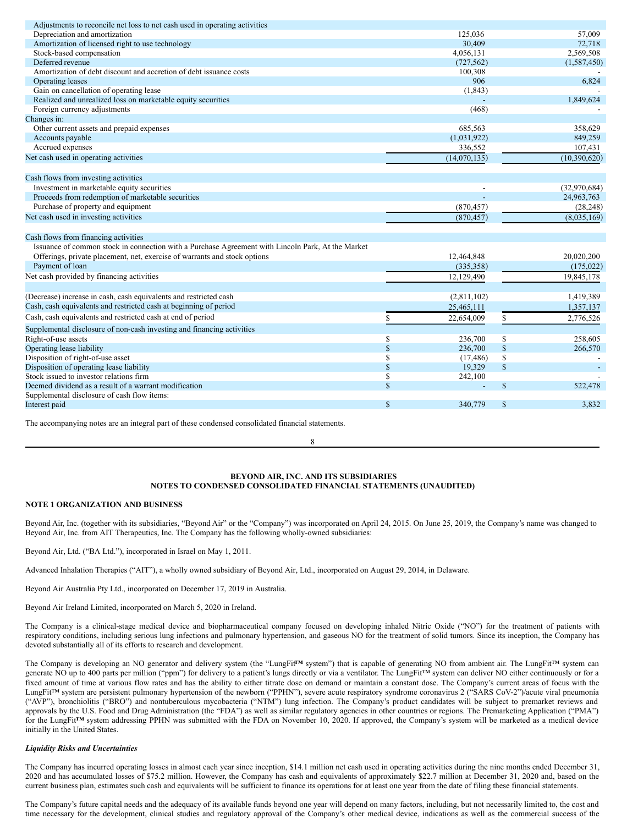| Adjustments to reconcile net loss to net cash used in operating activities                        |               |              |               |              |
|---------------------------------------------------------------------------------------------------|---------------|--------------|---------------|--------------|
| Depreciation and amortization                                                                     |               | 125,036      |               | 57,009       |
| Amortization of licensed right to use technology                                                  |               | 30,409       |               | 72,718       |
| Stock-based compensation                                                                          |               | 4,056,131    |               | 2,569,508    |
| Deferred revenue                                                                                  |               | (727, 562)   |               | (1,587,450)  |
| Amortization of debt discount and accretion of debt issuance costs                                |               | 100,308      |               |              |
| Operating leases                                                                                  |               | 906          |               | 6,824        |
| Gain on cancellation of operating lease                                                           |               | (1, 843)     |               |              |
| Realized and unrealized loss on marketable equity securities                                      |               |              |               | 1.849.624    |
| Foreign currency adjustments                                                                      |               | (468)        |               |              |
| Changes in:                                                                                       |               |              |               |              |
| Other current assets and prepaid expenses                                                         |               | 685,563      |               | 358,629      |
| Accounts payable                                                                                  |               | (1,031,922)  |               | 849,259      |
| Accrued expenses                                                                                  |               | 336,552      |               | 107,431      |
| Net cash used in operating activities                                                             |               | (14,070,135) |               | (10,390,620) |
|                                                                                                   |               |              |               |              |
| Cash flows from investing activities                                                              |               |              |               |              |
| Investment in marketable equity securities                                                        |               |              |               | (32,970,684) |
| Proceeds from redemption of marketable securities                                                 |               |              |               | 24,963,763   |
| Purchase of property and equipment                                                                |               | (870, 457)   |               | (28, 248)    |
| Net cash used in investing activities                                                             |               | (870, 457)   |               | (8,035,169)  |
|                                                                                                   |               |              |               |              |
| Cash flows from financing activities                                                              |               |              |               |              |
| Issuance of common stock in connection with a Purchase Agreement with Lincoln Park, At the Market |               |              |               |              |
| Offerings, private placement, net, exercise of warrants and stock options                         |               | 12,464,848   |               | 20,020,200   |
| Payment of loan                                                                                   |               | (335, 358)   |               | (175, 022)   |
| Net cash provided by financing activities                                                         |               | 12,129,490   |               | 19,845,178   |
|                                                                                                   |               |              |               |              |
| (Decrease) increase in cash, cash equivalents and restricted cash                                 |               | (2,811,102)  |               | 1,419,389    |
| Cash, cash equivalents and restricted cash at beginning of period                                 |               | 25,465,111   |               | 1,357,137    |
| Cash, cash equivalents and restricted cash at end of period                                       |               | 22,654,009   |               | 2,776,526    |
| Supplemental disclosure of non-cash investing and financing activities                            |               |              |               |              |
| Right-of-use assets                                                                               | S             | 236,700      | \$            | 258,605      |
| Operating lease liability                                                                         | <sup>\$</sup> | 236,700      | $\$$          | 266,570      |
| Disposition of right-of-use asset                                                                 | \$            | (17, 486)    | \$            |              |
| Disposition of operating lease liability                                                          | $\mathbb{S}$  | 19,329       | $\mathbf{\$}$ |              |
| Stock issued to investor relations firm                                                           | \$            | 242,100      |               |              |
| Deemed dividend as a result of a warrant modification                                             | $\mathbf S$   |              | $\mathcal{S}$ | 522,478      |
| Supplemental disclosure of cash flow items:                                                       |               |              |               |              |
| Interest paid                                                                                     | <sup>\$</sup> | 340,779      | $\mathbf S$   | 3,832        |
|                                                                                                   |               |              |               |              |

The accompanying notes are an integral part of these condensed consolidated financial statements.

8

# <span id="page-4-0"></span>**BEYOND AIR, INC. AND ITS SUBSIDIARIES NOTES TO CONDENSED CONSOLIDATED FINANCIAL STATEMENTS (UNAUDITED)**

# **NOTE 1 ORGANIZATION AND BUSINESS**

Beyond Air, Inc. (together with its subsidiaries, "Beyond Air" or the "Company") was incorporated on April 24, 2015. On June 25, 2019, the Company's name was changed to Beyond Air, Inc. from AIT Therapeutics, Inc. The Company has the following wholly-owned subsidiaries:

Beyond Air, Ltd. ("BA Ltd."), incorporated in Israel on May 1, 2011.

Advanced Inhalation Therapies ("AIT"), a wholly owned subsidiary of Beyond Air, Ltd., incorporated on August 29, 2014, in Delaware.

Beyond Air Australia Pty Ltd., incorporated on December 17, 2019 in Australia.

Beyond Air Ireland Limited, incorporated on March 5, 2020 in Ireland.

The Company is a clinical-stage medical device and biopharmaceutical company focused on developing inhaled Nitric Oxide ("NO") for the treatment of patients with respiratory conditions, including serious lung infections and pulmonary hypertension, and gaseous NO for the treatment of solid tumors. Since its inception, the Company has devoted substantially all of its efforts to research and development.

The Company is developing an NO generator and delivery system (the "LungFit**™** system") that is capable of generating NO from ambient air. The LungFit™ system can generate NO up to 400 parts per million ("ppm") for delivery to a patient's lungs directly or via a ventilator. The LungFit™ system can deliver NO either continuously or for a fixed amount of time at various flow rates and has the ability to either titrate dose on demand or maintain a constant dose. The Company's current areas of focus with the LungFit™ system are persistent pulmonary hypertension of the newborn ("PPHN"), severe acute respiratory syndrome coronavirus 2 ("SARS CoV-2")/acute viral pneumonia ("AVP"), bronchiolitis ("BRO") and nontuberculous mycobacteria ("NTM") lung infection. The Company's product candidates will be subject to premarket reviews and approvals by the U.S. Food and Drug Administration (the "FDA") as well as similar regulatory agencies in other countries or regions. The Premarketing Application ("PMA") for the LungFit**™** system addressing PPHN was submitted with the FDA on November 10, 2020. If approved, the Company's system will be marketed as a medical device initially in the United States.

### *Liquidity Risks and Uncertainties*

The Company has incurred operating losses in almost each year since inception, \$14.1 million net cash used in operating activities during the nine months ended December 31, 2020 and has accumulated losses of \$75.2 million. However, the Company has cash and equivalents of approximately \$22.7 million at December 31, 2020 and, based on the current business plan, estimates such cash and equivalents will be sufficient to finance its operations for at least one year from the date of filing these financial statements.

The Company's future capital needs and the adequacy of its available funds beyond one year will depend on many factors, including, but not necessarily limited to, the cost and time necessary for the development, clinical studies and regulatory approval of the Company's other medical device, indications as well as the commercial success of the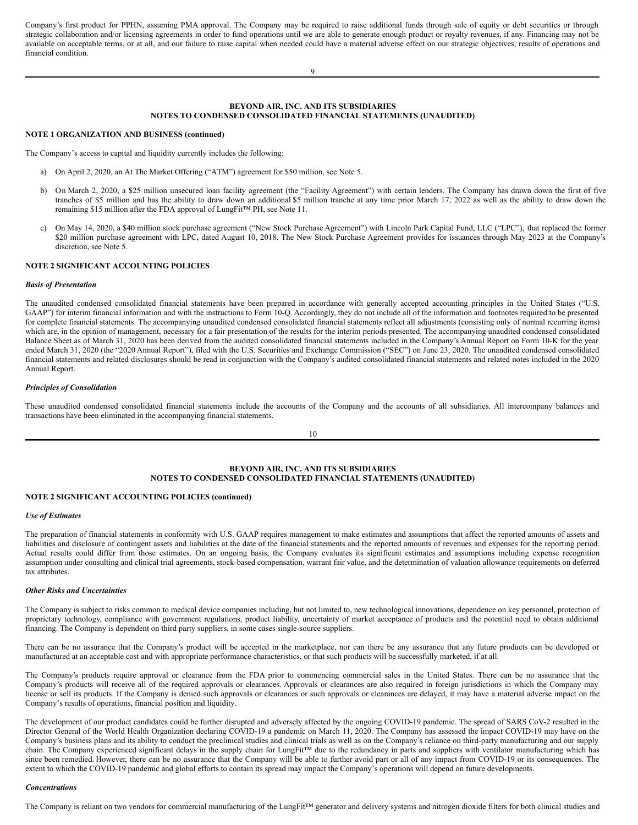Company's first product for PPHN, assuming PMA approval. The Company may be required to raise additional funds through sale of equity or debt securities or through strategic collaboration and/or licensing agreements in order to fund operations until we are able to generate enough product or royalty revenues, if any. Financing may not be available on acceptable terms, or at all, and our failure to raise capital when needed could have a material adverse effect on our strategic objectives, results of operations and financial condition.

9

# **BEYOND AIR, INC. AND ITS SUBSIDIARIES NOTES TO CONDENSED CONSOLIDATED FINANCIAL STATEMENTS (UNAUDITED)**

### **NOTE 1 ORGANIZATION AND BUSINESS (continued)**

The Company's access to capital and liquidity currently includes the following:

- a) On April 2, 2020, an At The Market Offering ("ATM") agreement for \$50 million, see Note 5.
- b) On March 2, 2020, a \$25 million unsecured loan facility agreement (the "Facility Agreement") with certain lenders. The Company has drawn down the first of five tranches of \$5 million and has the ability to draw down an additional \$5 million tranche at any time prior March 17, 2022 as well as the ability to draw down the remaining \$15 million after the FDA approval of LungFit™ PH, see Note 11.
- c) On May 14, 2020, a \$40 million stock purchase agreement ("New Stock Purchase Agreement") with Lincoln Park Capital Fund, LLC ("LPC"), that replaced the former \$20 million purchase agreement with LPC, dated August 10, 2018. The New Stock Purchase Agreement provides for issuances through May 2023 at the Company's discretion, see Note 5.

# **NOTE 2 SIGNIFICANT ACCOUNTING POLICIES**

### *Basis of Presentation*

The unaudited condensed consolidated financial statements have been prepared in accordance with generally accepted accounting principles in the United States ("U.S. GAAP") for interim financial information and with the instructions to Form 10-Q. Accordingly, they do not include all of the information and footnotes required to be presented for complete financial statements. The accompanying unaudited condensed consolidated financial statements reflect all adjustments (consisting only of normal recurring items) which are, in the opinion of management, necessary for a fair presentation of the results for the interim periods presented. The accompanying unaudited condensed consolidated Balance Sheet as of March 31, 2020 has been derived from the audited consolidated financial statements included in the Company's Annual Report on Form 10-K for the year ended March 31, 2020 (the "2020 Annual Report"), filed with the U.S. Securities and Exchange Commission ("SEC") on June 23, 2020. The unaudited condensed consolidated financial statements and related disclosures should be read in conjunction with the Company's audited consolidated financial statements and related notes included in the 2020 Annual Report.

# *Principles of Consolidation*

These unaudited condensed consolidated financial statements include the accounts of the Company and the accounts of all subsidiaries. All intercompany balances and transactions have been eliminated in the accompanying financial statements.

10

# **BEYOND AIR, INC. AND ITS SUBSIDIARIES NOTES TO CONDENSED CONSOLIDATED FINANCIAL STATEMENTS (UNAUDITED)**

# **NOTE 2 SIGNIFICANT ACCOUNTING POLICIES (continued)**

### *Use of Estimates*

The preparation of financial statements in conformity with U.S. GAAP requires management to make estimates and assumptions that affect the reported amounts of assets and liabilities and disclosure of contingent assets and liabilities at the date of the financial statements and the reported amounts of revenues and expenses for the reporting period. Actual results could differ from those estimates. On an ongoing basis, the Company evaluates its significant estimates and assumptions including expense recognition assumption under consulting and clinical trial agreements, stock-based compensation, warrant fair value, and the determination of valuation allowance requirements on deferred tax attributes.

#### *Other Risks and Uncertainties*

The Company is subject to risks common to medical device companies including, but not limited to, new technological innovations, dependence on key personnel, protection of proprietary technology, compliance with government regulations, product liability, uncertainty of market acceptance of products and the potential need to obtain additional financing. The Company is dependent on third party suppliers, in some cases single-source suppliers.

There can be no assurance that the Company's product will be accepted in the marketplace, nor can there be any assurance that any future products can be developed or manufactured at an acceptable cost and with appropriate performance characteristics, or that such products will be successfully marketed, if at all.

The Company's products require approval or clearance from the FDA prior to commencing commercial sales in the United States. There can be no assurance that the Company's products will receive all of the required approvals or clearances. Approvals or clearances are also required in foreign jurisdictions in which the Company may license or sell its products. If the Company is denied such approvals or clearances or such approvals or clearances are delayed, it may have a material adverse impact on the Company's results of operations, financial position and liquidity.

The development of our product candidates could be further disrupted and adversely affected by the ongoing COVID-19 pandemic. The spread of SARS CoV-2 resulted in the Director General of the World Health Organization declaring COVID-19 a pandemic on March 11, 2020. The Company has assessed the impact COVID-19 may have on the Company's business plans and its ability to conduct the preclinical studies and clinical trials as well as on the Company's reliance on third-party manufacturing and our supply chain. The Company experienced significant delays in the supply chain for LungFit™ due to the redundancy in parts and suppliers with ventilator manufacturing which has since been remedied. However, there can be no assurance that the Company will be able to further avoid part or all of any impact from COVID-19 or its consequences. The extent to which the COVID-19 pandemic and global efforts to contain its spread may impact the Company's operations will depend on future developments.

### *Concentrations*

The Company is reliant on two vendors for commercial manufacturing of the LungFit™ generator and delivery systems and nitrogen dioxide filters for both clinical studies and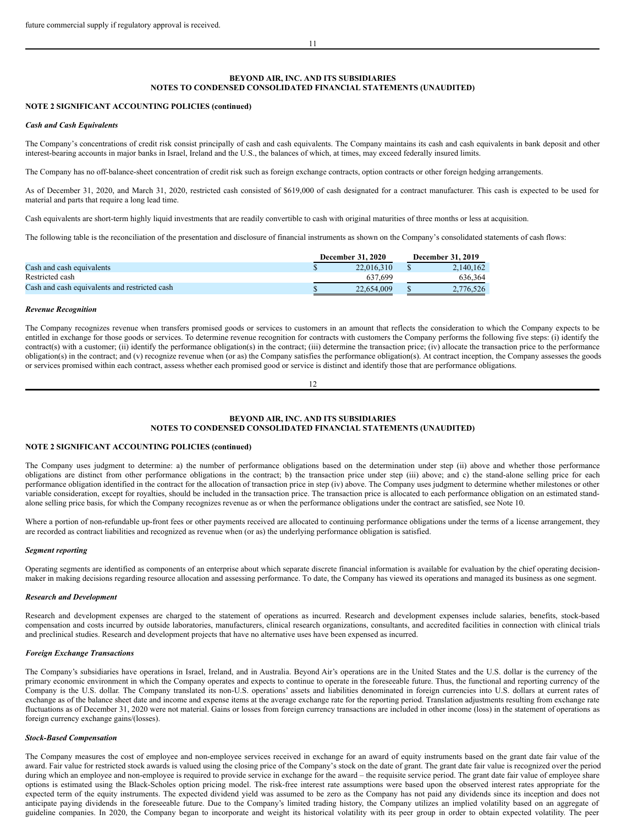# **BEYOND AIR, INC. AND ITS SUBSIDIARIES NOTES TO CONDENSED CONSOLIDATED FINANCIAL STATEMENTS (UNAUDITED)**

### **NOTE 2 SIGNIFICANT ACCOUNTING POLICIES (continued)**

#### *Cash and Cash Equivalents*

The Company's concentrations of credit risk consist principally of cash and cash equivalents. The Company maintains its cash and cash equivalents in bank deposit and other interest-bearing accounts in major banks in Israel, Ireland and the U.S., the balances of which, at times, may exceed federally insured limits.

The Company has no off-balance-sheet concentration of credit risk such as foreign exchange contracts, option contracts or other foreign hedging arrangements.

As of December 31, 2020, and March 31, 2020, restricted cash consisted of \$619,000 of cash designated for a contract manufacturer. This cash is expected to be used for material and parts that require a long lead time.

Cash equivalents are short-term highly liquid investments that are readily convertible to cash with original maturities of three months or less at acquisition.

The following table is the reconciliation of the presentation and disclosure of financial instruments as shown on the Company's consolidated statements of cash flows:

|                                               | <b>December 31, 2020</b> |            |  | December 31, 2019 |  |  |
|-----------------------------------------------|--------------------------|------------|--|-------------------|--|--|
| Cash and cash equivalents                     |                          | 22,016,310 |  | 2.140.162         |  |  |
| Restricted cash                               |                          | 637.699    |  | 636.364           |  |  |
| Cash and cash equivalents and restricted cash |                          | 22,654,009 |  | 2.776.526         |  |  |

#### *Revenue Recognition*

The Company recognizes revenue when transfers promised goods or services to customers in an amount that reflects the consideration to which the Company expects to be entitled in exchange for those goods or services. To determine revenue recognition for contracts with customers the Company performs the following five steps: (i) identify the contract(s) with a customer; (ii) identify the performance obligation(s) in the contract; (iii) determine the transaction price; (iv) allocate the transaction price to the performance obligation(s) in the contract; and (v) recognize revenue when (or as) the Company satisfies the performance obligation(s). At contract inception, the Company assesses the goods or services promised within each contract, assess whether each promised good or service is distinct and identify those that are performance obligations.

#### 12

# **BEYOND AIR, INC. AND ITS SUBSIDIARIES NOTES TO CONDENSED CONSOLIDATED FINANCIAL STATEMENTS (UNAUDITED)**

### **NOTE 2 SIGNIFICANT ACCOUNTING POLICIES (continued)**

The Company uses judgment to determine: a) the number of performance obligations based on the determination under step (ii) above and whether those performance obligations are distinct from other performance obligations in the contract; b) the transaction price under step (iii) above; and c) the stand-alone selling price for each performance obligation identified in the contract for the allocation of transaction price in step (iv) above. The Company uses judgment to determine whether milestones or other variable consideration, except for royalties, should be included in the transaction price. The transaction price is allocated to each performance obligation on an estimated standalone selling price basis, for which the Company recognizes revenue as or when the performance obligations under the contract are satisfied, see Note 10.

Where a portion of non-refundable up-front fees or other payments received are allocated to continuing performance obligations under the terms of a license arrangement, they are recorded as contract liabilities and recognized as revenue when (or as) the underlying performance obligation is satisfied.

#### *Segment reporting*

Operating segments are identified as components of an enterprise about which separate discrete financial information is available for evaluation by the chief operating decisionmaker in making decisions regarding resource allocation and assessing performance. To date, the Company has viewed its operations and managed its business as one segment.

#### *Research and Development*

Research and development expenses are charged to the statement of operations as incurred. Research and development expenses include salaries, benefits, stock-based compensation and costs incurred by outside laboratories, manufacturers, clinical research organizations, consultants, and accredited facilities in connection with clinical trials and preclinical studies. Research and development projects that have no alternative uses have been expensed as incurred.

### *Foreign Exchange Transactions*

The Company's subsidiaries have operations in Israel, Ireland, and in Australia. Beyond Air's operations are in the United States and the U.S. dollar is the currency of the primary economic environment in which the Company operates and expects to continue to operate in the foreseeable future. Thus, the functional and reporting currency of the Company is the U.S. dollar. The Company translated its non-U.S. operations' assets and liabilities denominated in foreign currencies into U.S. dollars at current rates of exchange as of the balance sheet date and income and expense items at the average exchange rate for the reporting period. Translation adjustments resulting from exchange rate fluctuations as of December 31, 2020 were not material. Gains or losses from foreign currency transactions are included in other income (loss) in the statement of operations as foreign currency exchange gains/(losses).

### *Stock-Based Compensation*

The Company measures the cost of employee and non-employee services received in exchange for an award of equity instruments based on the grant date fair value of the award. Fair value for restricted stock awards is valued using the closing price of the Company's stock on the date of grant. The grant date fair value is recognized over the period during which an employee and non-employee is required to provide service in exchange for the award – the requisite service period. The grant date fair value of employee share options is estimated using the Black-Scholes option pricing model. The risk-free interest rate assumptions were based upon the observed interest rates appropriate for the expected term of the equity instruments. The expected dividend yield was assumed to be zero as the Company has not paid any dividends since its inception and does not anticipate paying dividends in the foreseeable future. Due to the Company's limited trading history, the Company utilizes an implied volatility based on an aggregate of guideline companies. In 2020, the Company began to incorporate and weight its historical volatility with its peer group in order to obtain expected volatility. The peer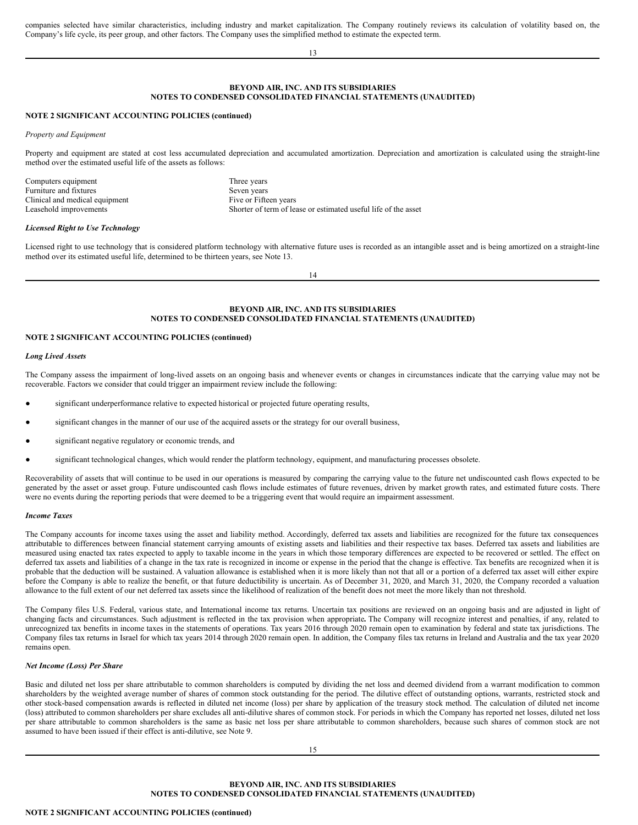companies selected have similar characteristics, including industry and market capitalization. The Company routinely reviews its calculation of volatility based on, the Company's life cycle, its peer group, and other factors. The Company uses the simplified method to estimate the expected term.

13

# **BEYOND AIR, INC. AND ITS SUBSIDIARIES NOTES TO CONDENSED CONSOLIDATED FINANCIAL STATEMENTS (UNAUDITED)**

# **NOTE 2 SIGNIFICANT ACCOUNTING POLICIES (continued)**

*Property and Equipment*

Property and equipment are stated at cost less accumulated depreciation and accumulated amortization. Depreciation and amortization is calculated using the straight-line method over the estimated useful life of the assets as follows:

| Three years                                                    |
|----------------------------------------------------------------|
| Seven years                                                    |
| Five or Fifteen years                                          |
| Shorter of term of lease or estimated useful life of the asset |
|                                                                |

### *Licensed Right to Use Technology*

Licensed right to use technology that is considered platform technology with alternative future uses is recorded as an intangible asset and is being amortized on a straight-line method over its estimated useful life, determined to be thirteen years, see Note 13.

14

# **BEYOND AIR, INC. AND ITS SUBSIDIARIES NOTES TO CONDENSED CONSOLIDATED FINANCIAL STATEMENTS (UNAUDITED)**

# **NOTE 2 SIGNIFICANT ACCOUNTING POLICIES (continued)**

### *Long Lived Assets*

The Company assess the impairment of long-lived assets on an ongoing basis and whenever events or changes in circumstances indicate that the carrying value may not be recoverable. Factors we consider that could trigger an impairment review include the following:

- significant underperformance relative to expected historical or projected future operating results,
- significant changes in the manner of our use of the acquired assets or the strategy for our overall business,
- significant negative regulatory or economic trends, and
- significant technological changes, which would render the platform technology, equipment, and manufacturing processes obsolete.

Recoverability of assets that will continue to be used in our operations is measured by comparing the carrying value to the future net undiscounted cash flows expected to be generated by the asset or asset group. Future undiscounted cash flows include estimates of future revenues, driven by market growth rates, and estimated future costs. There were no events during the reporting periods that were deemed to be a triggering event that would require an impairment assessment.

### *Income Taxes*

The Company accounts for income taxes using the asset and liability method. Accordingly, deferred tax assets and liabilities are recognized for the future tax consequences attributable to differences between financial statement carrying amounts of existing assets and liabilities and their respective tax bases. Deferred tax assets and liabilities are measured using enacted tax rates expected to apply to taxable income in the years in which those temporary differences are expected to be recovered or settled. The effect on deferred tax assets and liabilities of a change in the tax rate is recognized in income or expense in the period that the change is effective. Tax benefits are recognized when it is probable that the deduction will be sustained. A valuation allowance is established when it is more likely than not that all or a portion of a deferred tax asset will either expire before the Company is able to realize the benefit, or that future deductibility is uncertain. As of December 31, 2020, and March 31, 2020, the Company recorded a valuation allowance to the full extent of our net deferred tax assets since the likelihood of realization of the benefit does not meet the more likely than not threshold.

The Company files U.S. Federal, various state, and International income tax returns. Uncertain tax positions are reviewed on an ongoing basis and are adjusted in light of changing facts and circumstances. Such adjustment is reflected in the tax provision when appropriate**.** The Company will recognize interest and penalties, if any, related to unrecognized tax benefits in income taxes in the statements of operations. Tax years 2016 through 2020 remain open to examination by federal and state tax jurisdictions. The Company files tax returns in Israel for which tax years 2014 through 2020 remain open. In addition, the Company files tax returns in Ireland and Australia and the tax year 2020 remains open.

# *Net Income (Loss) Per Share*

Basic and diluted net loss per share attributable to common shareholders is computed by dividing the net loss and deemed dividend from a warrant modification to common shareholders by the weighted average number of shares of common stock outstanding for the period. The dilutive effect of outstanding options, warrants, restricted stock and other stock-based compensation awards is reflected in diluted net income (loss) per share by application of the treasury stock method. The calculation of diluted net income (loss) attributed to common shareholders per share excludes all anti-dilutive shares of common stock. For periods in which the Company has reported net losses, diluted net loss per share attributable to common shareholders is the same as basic net loss per share attributable to common shareholders, because such shares of common stock are not assumed to have been issued if their effect is anti-dilutive, see Note 9.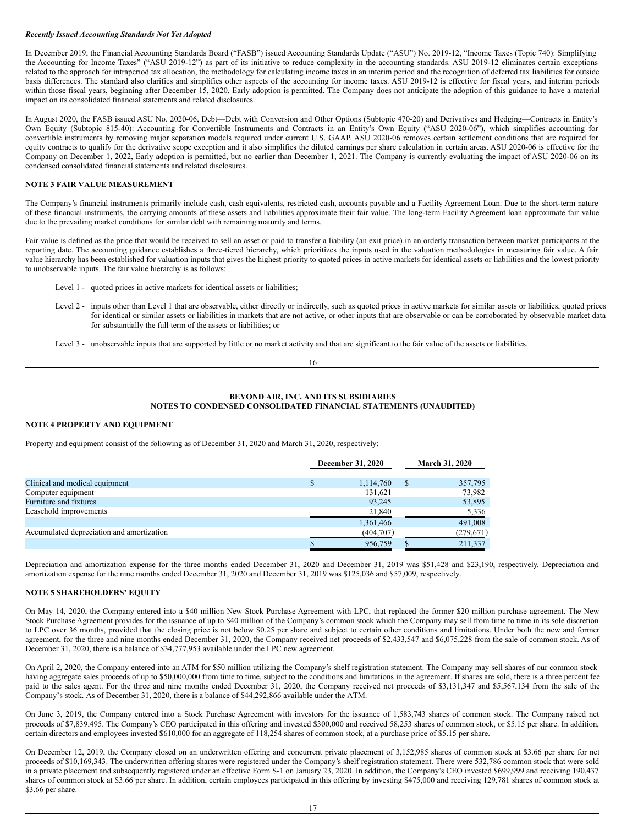# *Recently Issued Accounting Standards Not Yet Adopted*

In December 2019, the Financial Accounting Standards Board ("FASB") issued Accounting Standards Update ("ASU") No. 2019-12, "Income Taxes (Topic 740): Simplifying the Accounting for Income Taxes" ("ASU 2019-12") as part of its initiative to reduce complexity in the accounting standards. ASU 2019-12 eliminates certain exceptions related to the approach for intraperiod tax allocation, the methodology for calculating income taxes in an interim period and the recognition of deferred tax liabilities for outside basis differences. The standard also clarifies and simplifies other aspects of the accounting for income taxes. ASU 2019-12 is effective for fiscal years, and interim periods within those fiscal years, beginning after December 15, 2020. Early adoption is permitted. The Company does not anticipate the adoption of this guidance to have a material impact on its consolidated financial statements and related disclosures.

In August 2020, the FASB issued ASU No. 2020-06, Debt—Debt with Conversion and Other Options (Subtopic 470-20) and Derivatives and Hedging—Contracts in Entity's Own Equity (Subtopic 815-40): Accounting for Convertible Instruments and Contracts in an Entity's Own Equity ("ASU 2020-06"), which simplifies accounting for convertible instruments by removing major separation models required under current U.S. GAAP. ASU 2020-06 removes certain settlement conditions that are required for equity contracts to qualify for the derivative scope exception and it also simplifies the diluted earnings per share calculation in certain areas. ASU 2020-06 is effective for the Company on December 1, 2022, Early adoption is permitted, but no earlier than December 1, 2021. The Company is currently evaluating the impact of ASU 2020-06 on its condensed consolidated financial statements and related disclosures.

# **NOTE 3 FAIR VALUE MEASUREMENT**

The Company's financial instruments primarily include cash, cash equivalents, restricted cash, accounts payable and a Facility Agreement Loan. Due to the short-term nature of these financial instruments, the carrying amounts of these assets and liabilities approximate their fair value. The long-term Facility Agreement loan approximate fair value due to the prevailing market conditions for similar debt with remaining maturity and terms.

Fair value is defined as the price that would be received to sell an asset or paid to transfer a liability (an exit price) in an orderly transaction between market participants at the reporting date. The accounting guidance establishes a three-tiered hierarchy, which prioritizes the inputs used in the valuation methodologies in measuring fair value. A fair value hierarchy has been established for valuation inputs that gives the highest priority to quoted prices in active markets for identical assets or liabilities and the lowest priority to unobservable inputs. The fair value hierarchy is as follows:

- Level 1 quoted prices in active markets for identical assets or liabilities;
- Level 2 inputs other than Level 1 that are observable, either directly or indirectly, such as quoted prices in active markets for similar assets or liabilities, quoted prices for identical or similar assets or liabilities in markets that are not active, or other inputs that are observable or can be corroborated by observable market data for substantially the full term of the assets or liabilities; or
- Level 3 unobservable inputs that are supported by little or no market activity and that are significant to the fair value of the assets or liabilities.

# **BEYOND AIR, INC. AND ITS SUBSIDIARIES NOTES TO CONDENSED CONSOLIDATED FINANCIAL STATEMENTS (UNAUDITED)**

# **NOTE 4 PROPERTY AND EQUIPMENT**

Property and equipment consist of the following as of December 31, 2020 and March 31, 2020, respectively:

|                                           | December 31, 2020 |            | <b>March 31, 2020</b> |            |  |
|-------------------------------------------|-------------------|------------|-----------------------|------------|--|
| Clinical and medical equipment            | S                 | 1,114,760  | S                     | 357,795    |  |
| Computer equipment                        |                   | 131.621    |                       | 73,982     |  |
| Furniture and fixtures                    |                   | 93,245     |                       | 53,895     |  |
| Leasehold improvements                    |                   | 21,840     |                       | 5,336      |  |
|                                           |                   | 1,361,466  |                       | 491,008    |  |
| Accumulated depreciation and amortization |                   | (404, 707) |                       | (279, 671) |  |
|                                           |                   | 956,759    |                       | 211,337    |  |

Depreciation and amortization expense for the three months ended December 31, 2020 and December 31, 2019 was \$51,428 and \$23,190, respectively. Depreciation and amortization expense for the nine months ended December 31, 2020 and December 31, 2019 was \$125,036 and \$57,009, respectively.

### **NOTE 5 SHAREHOLDERS' EQUITY**

On May 14, 2020, the Company entered into a \$40 million New Stock Purchase Agreement with LPC, that replaced the former \$20 million purchase agreement. The New Stock Purchase Agreement provides for the issuance of up to \$40 million of the Company's common stock which the Company may sell from time to time in its sole discretion to LPC over 36 months, provided that the closing price is not below \$0.25 per share and subject to certain other conditions and limitations. Under both the new and former agreement, for the three and nine months ended December 31, 2020, the Company received net proceeds of \$2,433,547 and \$6,075,228 from the sale of common stock. As of December 31, 2020, there is a balance of \$34,777,953 available under the LPC new agreement.

On April 2, 2020, the Company entered into an ATM for \$50 million utilizing the Company's shelf registration statement. The Company may sell shares of our common stock having aggregate sales proceeds of up to \$50,000,000 from time to time, subject to the conditions and limitations in the agreement. If shares are sold, there is a three percent fee paid to the sales agent. For the three and nine months ended December 31, 2020, the Company received net proceeds of \$3,131,347 and \$5,567,134 from the sale of the Company's stock. As of December 31, 2020, there is a balance of \$44,292,866 available under the ATM.

On June 3, 2019, the Company entered into a Stock Purchase Agreement with investors for the issuance of 1,583,743 shares of common stock. The Company raised net proceeds of \$7,839,495. The Company's CEO participated in this offering and invested \$300,000 and received 58,253 shares of common stock, or \$5.15 per share. In addition, certain directors and employees invested \$610,000 for an aggregate of 118,254 shares of common stock, at a purchase price of \$5.15 per share.

On December 12, 2019, the Company closed on an underwritten offering and concurrent private placement of 3,152,985 shares of common stock at \$3.66 per share for net proceeds of \$10,169,343. The underwritten offering shares were registered under the Company's shelf registration statement. There were 532,786 common stock that were sold in a private placement and subsequently registered under an effective Form S-1 on January 23, 2020. In addition, the Company's CEO invested \$699,999 and receiving 190,437 shares of common stock at \$3.66 per share. In addition, certain employees participated in this offering by investing \$475,000 and receiving 129,781 shares of common stock at \$3.66 per share.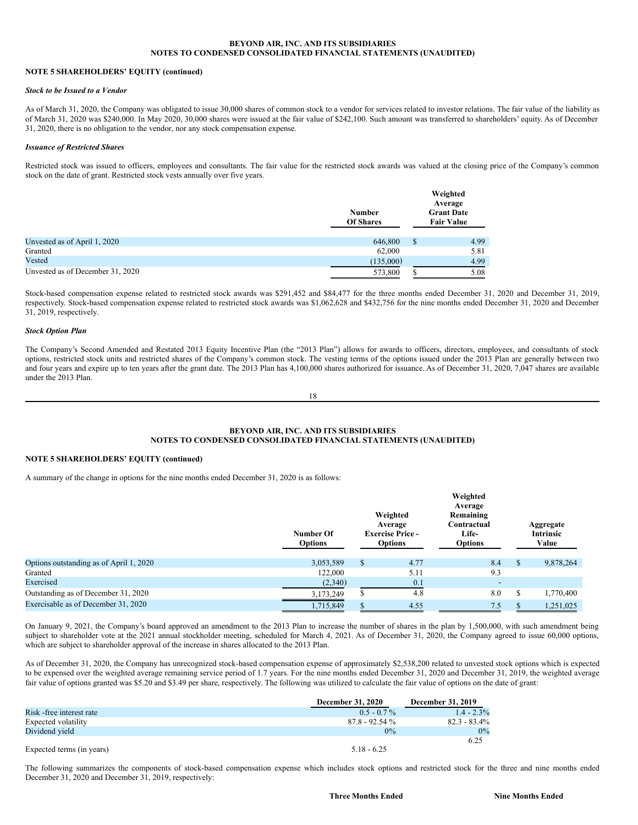# **BEYOND AIR, INC. AND ITS SUBSIDIARIES NOTES TO CONDENSED CONSOLIDATED FINANCIAL STATEMENTS (UNAUDITED)**

# **NOTE 5 SHAREHOLDERS' EQUITY (continued)**

# *Stock to be Issued to a Vendor*

As of March 31, 2020, the Company was obligated to issue 30,000 shares of common stock to a vendor for services related to investor relations. The fair value of the liability as of March 31, 2020 was \$240,000. In May 2020, 30,000 shares were issued at the fair value of \$242,100. Such amount was transferred to shareholders' equity. As of December 31, 2020, there is no obligation to the vendor, nor any stock compensation expense.

## *Issuance of Restricted Shares*

Restricted stock was issued to officers, employees and consultants. The fair value for the restricted stock awards was valued at the closing price of the Company's common stock on the date of grant. Restricted stock vests annually over five years.

|                                  | <b>Number</b><br><b>Of Shares</b> |   | Weighted<br>Average<br><b>Grant Date</b><br><b>Fair Value</b> |
|----------------------------------|-----------------------------------|---|---------------------------------------------------------------|
| Unvested as of April 1, 2020     | 646,800                           | S | 4.99                                                          |
| Granted                          | 62,000                            |   | 5.81                                                          |
| Vested                           | (135,000)                         |   | 4.99                                                          |
| Unvested as of December 31, 2020 | 573,800                           |   | 5.08                                                          |

Stock-based compensation expense related to restricted stock awards was \$291,452 and \$84,477 for the three months ended December 31, 2020 and December 31, 2019, respectively. Stock-based compensation expense related to restricted stock awards was \$1,062,628 and \$432,756 for the nine months ended December 31, 2020 and December 31, 2019, respectively.

# *Stock Option Plan*

The Company's Second Amended and Restated 2013 Equity Incentive Plan (the "2013 Plan") allows for awards to officers, directors, employees, and consultants of stock options, restricted stock units and restricted shares of the Company's common stock. The vesting terms of the options issued under the 2013 Plan are generally between two and four years and expire up to ten years after the grant date. The 2013 Plan has 4,100,000 shares authorized for issuance. As of December 31, 2020, 7,047 shares are available under the 2013 Plan.

18

# **BEYOND AIR, INC. AND ITS SUBSIDIARIES NOTES TO CONDENSED CONSOLIDATED FINANCIAL STATEMENTS (UNAUDITED)**

# **NOTE 5 SHAREHOLDERS' EQUITY (continued)**

A summary of the change in options for the nine months ended December 31, 2020 is as follows:

|                                         | Number Of<br><b>Options</b> |              | Weighted<br>Average<br><b>Exercise Price -</b><br><b>Options</b> | Weighted<br>Average<br>Remaining<br>Contractual<br><b>Life-</b><br><b>Options</b> |   | Aggregate<br><b>Intrinsic</b><br>Value |
|-----------------------------------------|-----------------------------|--------------|------------------------------------------------------------------|-----------------------------------------------------------------------------------|---|----------------------------------------|
| Options outstanding as of April 1, 2020 | 3,053,589                   | <sup>S</sup> | 4.77                                                             | 8.4                                                                               | S | 9,878,264                              |
| Granted                                 | 122,000                     |              | 5.11                                                             | 9.3                                                                               |   |                                        |
| Exercised                               | (2,340)                     |              | 0.1                                                              | $\overline{\phantom{a}}$                                                          |   |                                        |
| Outstanding as of December 31, 2020     | 3,173,249                   | ъ            | 4.8                                                              | 8.0                                                                               | S | 1,770,400                              |
| Exercisable as of December 31, 2020     | 1,715,849                   |              | 4.55                                                             | 7.5                                                                               |   | 1,251,025                              |

On January 9, 2021, the Company's board approved an amendment to the 2013 Plan to increase the number of shares in the plan by 1,500,000, with such amendment being subject to shareholder vote at the 2021 annual stockholder meeting, scheduled for March 4, 2021. As of December 31, 2020, the Company agreed to issue 60,000 options, which are subject to shareholder approval of the increase in shares allocated to the 2013 Plan.

As of December 31, 2020, the Company has unrecognized stock-based compensation expense of approximately \$2,538,200 related to unvested stock options which is expected to be expensed over the weighted average remaining service period of 1.7 years. For the nine months ended December 31, 2020 and December 31, 2019, the weighted average fair value of options granted was \$5.20 and \$3.49 per share, respectively. The following was utilized to calculate the fair value of options on the date of grant:

|                           | <b>December 31, 2020</b> | <b>December 31, 2019</b> |
|---------------------------|--------------------------|--------------------------|
| Risk -free interest rate  | $0.5 - 0.7\%$            | $1.4 - 2.3\%$            |
| Expected volatility       | $87.8 - 92.54\%$         | $82.3 - 83.4\%$          |
| Dividend yield            | $0\%$                    | $0\%$                    |
|                           |                          | 6.25                     |
| Expected terms (in years) | $5.18 - 6.25$            |                          |

The following summarizes the components of stock-based compensation expense which includes stock options and restricted stock for the three and nine months ended December 31, 2020 and December 31, 2019, respectively: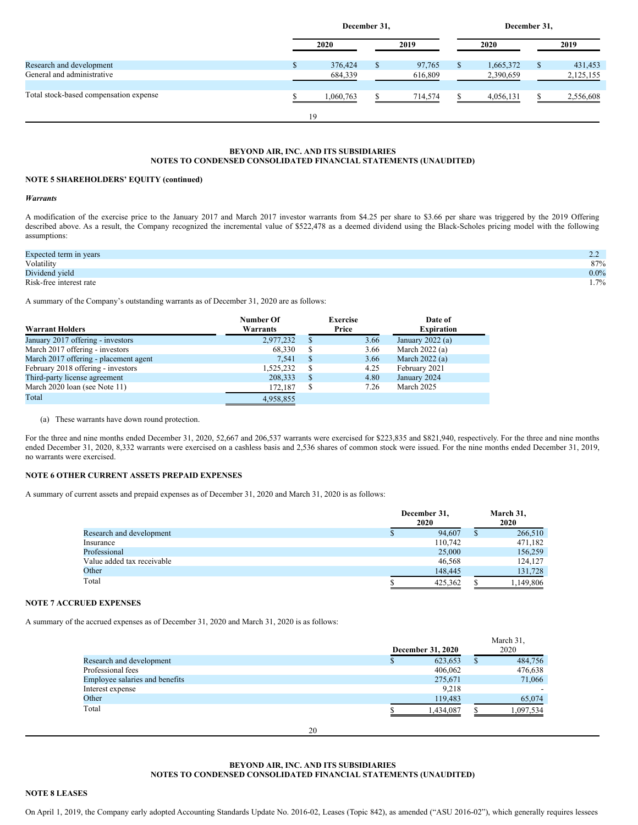|                                                        | December 31, |                    |  |                   | December 31, |                        |   |                      |  |
|--------------------------------------------------------|--------------|--------------------|--|-------------------|--------------|------------------------|---|----------------------|--|
|                                                        |              | 2020               |  | 2019              |              | 2020                   |   | 2019                 |  |
| Research and development<br>General and administrative | a.           | 376,424<br>684,339 |  | 97,765<br>616,809 | ъ            | 1,665,372<br>2,390,659 | S | 431,453<br>2,125,155 |  |
| Total stock-based compensation expense                 |              | 1,060,763          |  | 714,574           |              | 4,056,131              |   | 2,556,608            |  |
|                                                        |              | 19                 |  |                   |              |                        |   |                      |  |

# **BEYOND AIR, INC. AND ITS SUBSIDIARIES NOTES TO CONDENSED CONSOLIDATED FINANCIAL STATEMENTS (UNAUDITED)**

# **NOTE 5 SHAREHOLDERS' EQUITY (continued)**

#### *Warrants*

A modification of the exercise price to the January 2017 and March 2017 investor warrants from \$4.25 per share to \$3.66 per share was triggered by the 2019 Offering described above. As a result, the Company recognized the incremental value of \$522,478 as a deemed dividend using the Black-Scholes pricing model with the following assumptions:

| Expected term in years  | ے ۔     |
|-------------------------|---------|
| Volatility              | 87%     |
| Dividend yield          | $0.0\%$ |
| Risk-free interest rate | $1.7\%$ |

A summary of the Company's outstanding warrants as of December 31, 2020 are as follows:

| <b>Warrant Holders</b>                | Number Of<br>Warrants | <b>Exercise</b><br>Price |      | Date of<br><b>Expiration</b> |
|---------------------------------------|-----------------------|--------------------------|------|------------------------------|
| January 2017 offering - investors     | 2,977,232             | S                        | 3.66 | January 2022 (a)             |
| March 2017 offering - investors       | 68,330                | \$                       | 3.66 | March $2022(a)$              |
| March 2017 offering - placement agent | 7.541                 | <sup>\$</sup>            | 3.66 | March $2022(a)$              |
| February 2018 offering - investors    | 1,525,232             | S                        | 4.25 | February 2021                |
| Third-party license agreement         | 208,333               | \$                       | 4.80 | January 2024                 |
| March 2020 loan (see Note 11)         | 172,187               | \$                       | 7.26 | March 2025                   |
| Total                                 | 4.958.855             |                          |      |                              |

### (a) These warrants have down round protection.

For the three and nine months ended December 31, 2020, 52,667 and 206,537 warrants were exercised for \$223,835 and \$821,940, respectively. For the three and nine months ended December 31, 2020, 8,332 warrants were exercised on a cashless basis and 2,536 shares of common stock were issued. For the nine months ended December 31, 2019, no warrants were exercised.

## **NOTE 6 OTHER CURRENT ASSETS PREPAID EXPENSES**

A summary of current assets and prepaid expenses as of December 31, 2020 and March 31, 2020 is as follows:

|                            |   | December 31,<br>2020 |   | March 31,<br>2020 |
|----------------------------|---|----------------------|---|-------------------|
| Research and development   | Ф | 94,607               | S | 266,510           |
| Insurance                  |   | 110.742              |   | 471,182           |
| Professional               |   | 25,000               |   | 156,259           |
| Value added tax receivable |   | 46,568               |   | 124,127           |
| Other                      |   | 148,445              |   | 131.728           |
| Total                      |   | 425.362              |   | 1,149,806         |

# **NOTE 7 ACCRUED EXPENSES**

A summary of the accrued expenses as of December 31, 2020 and March 31, 2020 is as follows:

|                                |    |                   |   | March 31, |
|--------------------------------|----|-------------------|---|-----------|
|                                |    | December 31, 2020 |   | 2020      |
| Research and development       |    | 623,653           | S | 484,756   |
| Professional fees              |    | 406,062           |   | 476,638   |
| Employee salaries and benefits |    | 275,671           |   | 71,066    |
| Interest expense               |    | 9,218             |   |           |
| Other                          |    | 119,483           |   | 65,074    |
| Total                          |    | 1.434.087         |   | 1,097,534 |
|                                | 20 |                   |   |           |

# **BEYOND AIR, INC. AND ITS SUBSIDIARIES NOTES TO CONDENSED CONSOLIDATED FINANCIAL STATEMENTS (UNAUDITED)**

# **NOTE 8 LEASES**

On April 1, 2019, the Company early adopted Accounting Standards Update No. 2016-02, Leases (Topic 842), as amended ("ASU 2016-02"), which generally requires lessees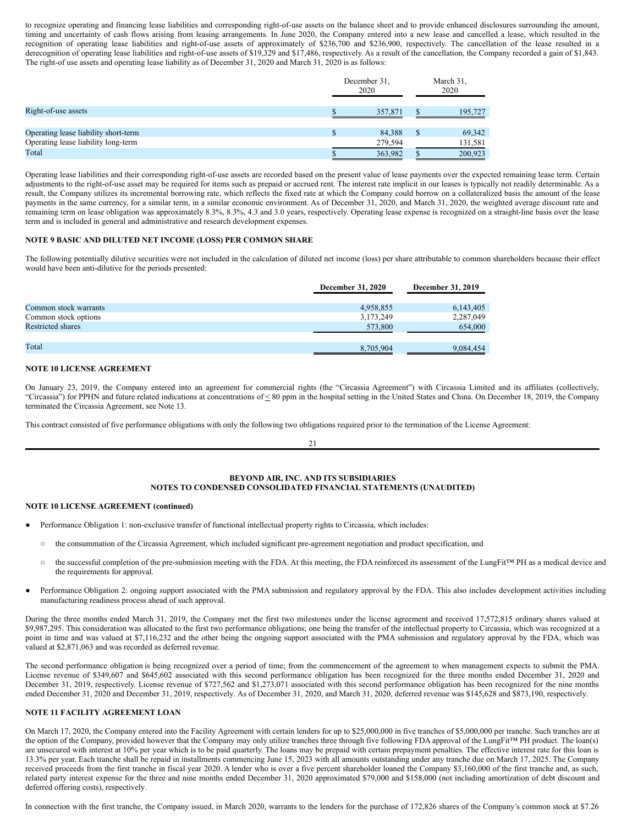to recognize operating and financing lease liabilities and corresponding right-of-use assets on the balance sheet and to provide enhanced disclosures surrounding the amount, timing and uncertainty of cash flows arising from leasing arrangements. In June 2020, the Company entered into a new lease and cancelled a lease, which resulted in the recognition of operating lease liabilities and right-of-use assets of approximately of \$236,700 and \$236,900, respectively. The cancellation of the lease resulted in a derecognition of operating lease liabilities and right-of-use assets of \$19,329 and \$17,486, respectively. As a result of the cancellation, the Company recorded a gain of \$1,843. The right-of use assets and operating lease liability as of December 31, 2020 and March 31, 2020 is as follows:

|                                      | December 31.<br>2020 |    | March 31,<br>2020 |
|--------------------------------------|----------------------|----|-------------------|
| Right-of-use assets                  | 357,871              |    | 195,727           |
| Operating lease liability short-term | 84.388               | -S | 69,342            |
| Operating lease liability long-term  | 279,594              |    | 131,581           |
| Total                                | 363,982              |    | 200.923           |

Operating lease liabilities and their corresponding right-of-use assets are recorded based on the present value of lease payments over the expected remaining lease term. Certain adjustments to the right-of-use asset may be required for items such as prepaid or accrued rent. The interest rate implicit in our leases is typically not readily determinable. As a result, the Company utilizes its incremental borrowing rate, which reflects the fixed rate at which the Company could borrow on a collateralized basis the amount of the lease payments in the same currency, for a similar term, in a similar economic environment. As of December 31, 2020, and March 31, 2020, the weighted average discount rate and remaining term on lease obligation was approximately 8.3%, 8.3%, 4.3 and 3.0 years, respectively. Operating lease expense is recognized on a straight-line basis over the lease term and is included in general and administrative and research development expenses.

# **NOTE 9 BASIC AND DILUTED NET INCOME (LOSS) PER COMMON SHARE**

The following potentially dilutive securities were not included in the calculation of diluted net income (loss) per share attributable to common shareholders because their effect would have been anti-dilutive for the periods presented:

|                          | <b>December 31, 2020</b> | December 31, 2019 |
|--------------------------|--------------------------|-------------------|
|                          |                          |                   |
| Common stock warrants    | 4,958,855                | 6,143,405         |
| Common stock options     | 3,173,249                | 2,287,049         |
| <b>Restricted shares</b> | 573,800                  | 654,000           |
|                          |                          |                   |
| Total                    | 8,705,904                | 9,084,454         |

# **NOTE 10 LICENSE AGREEMENT**

On January 23, 2019, the Company entered into an agreement for commercial rights (the "Circassia Agreement") with Circassia Limited and its affiliates (collectively, "Circassia") for PPHN and future related indications at concentrations of  $\leq 80$  ppm in the hospital setting in the United States and China. On December 18, 2019, the Company terminated the Circassia Agreement, see Note 13.

This contract consisted of five performance obligations with only the following two obligations required prior to the termination of the License Agreement:

21

# **BEYOND AIR, INC. AND ITS SUBSIDIARIES NOTES TO CONDENSED CONSOLIDATED FINANCIAL STATEMENTS (UNAUDITED)**

# **NOTE 10 LICENSE AGREEMENT (continued)**

- Performance Obligation 1: non-exclusive transfer of functional intellectual property rights to Circassia, which includes:
	- the consummation of the Circassia Agreement, which included significant pre-agreement negotiation and product specification, and
	- the successful completion of the pre-submission meeting with the FDA. At this meeting, the FDA reinforced its assessment of the LungFit™ PH as a medical device and the requirements for approval.
- Performance Obligation 2: ongoing support associated with the PMA submission and regulatory approval by the FDA. This also includes development activities including manufacturing readiness process ahead of such approval.

During the three months ended March 31, 2019, the Company met the first two milestones under the license agreement and received 17,572,815 ordinary shares valued at \$9,987,295. This consideration was allocated to the first two performance obligations; one being the transfer of the intellectual property to Circassia, which was recognized at a point in time and was valued at \$7,116,232 and the other being the ongoing support associated with the PMA submission and regulatory approval by the FDA, which was valued at \$2,871,063 and was recorded as deferred revenue.

The second performance obligation is being recognized over a period of time; from the commencement of the agreement to when management expects to submit the PMA. License revenue of \$349,607 and \$645,602 associated with this second performance obligation has been recognized for the three months ended December 31, 2020 and December 31, 2019, respectively. License revenue of \$727,562 and \$1,273,071 associated with this second performance obligation has been recognized for the nine months ended December 31, 2020 and December 31, 2019, respectively. As of December 31, 2020, and March 31, 2020, deferred revenue was \$145,628 and \$873,190, respectively.

# **NOTE 11 FACILITY AGREEMENT LOAN**

On March 17, 2020, the Company entered into the Facility Agreement with certain lenders for up to \$25,000,000 in five tranches of \$5,000,000 per tranche. Such tranches are at the option of the Company, provided however that the Company may only utilize tranches three through five following FDA approval of the LungFit™ PH product. The loan(s) are unsecured with interest at 10% per year which is to be paid quarterly. The loans may be prepaid with certain prepayment penalties. The effective interest rate for this loan is 13.3% per year. Each tranche shall be repaid in installments commencing June 15, 2023 with all amounts outstanding under any tranche due on March 17, 2025. The Company received proceeds from the first tranche in fiscal year 2020. A lender who is over a five percent shareholder loaned the Company \$3,160,000 of the first tranche and, as such, related party interest expense for the three and nine months ended December 31, 2020 approximated \$79,000 and \$158,000 (not including amortization of debt discount and deferred offering costs), respectively.

In connection with the first tranche, the Company issued, in March 2020, warrants to the lenders for the purchase of 172,826 shares of the Company's common stock at \$7.26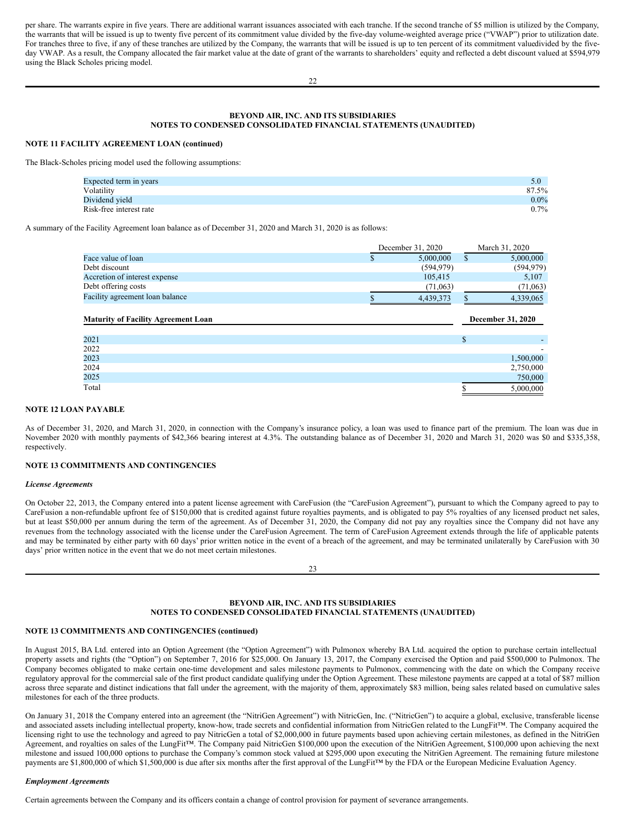per share. The warrants expire in five years. There are additional warrant issuances associated with each tranche. If the second tranche of \$5 million is utilized by the Company, the warrants that will be issued is up to twenty five percent of its commitment value divided by the five-day volume-weighted average price ("VWAP") prior to utilization date. For tranches three to five, if any of these tranches are utilized by the Company, the warrants that will be issued is up to ten percent of its commitment valuedivided by the fiveday VWAP. As a result, the Company allocated the fair market value at the date of grant of the warrants to shareholders' equity and reflected a debt discount valued at \$594,979 using the Black Scholes pricing model.

# **BEYOND AIR, INC. AND ITS SUBSIDIARIES NOTES TO CONDENSED CONSOLIDATED FINANCIAL STATEMENTS (UNAUDITED)**

# **NOTE 11 FACILITY AGREEMENT LOAN (continued)**

The Black-Scholes pricing model used the following assumptions:

| Expected term in years  | 5.0     |
|-------------------------|---------|
| Volatility              | 87.5%   |
| Dividend yield          | $0.0\%$ |
| Risk-free interest rate | 0.7%    |

A summary of the Facility Agreement loan balance as of December 31, 2020 and March 31, 2020 is as follows:

|                                            | December 31, 2020 |          | March 31, 2020    |  |
|--------------------------------------------|-------------------|----------|-------------------|--|
| Face value of loan                         | 5,000,000<br>S    | S        | 5,000,000         |  |
| Debt discount                              | (594, 979)        |          | (594, 979)        |  |
| Accretion of interest expense              | 105,415           |          | 5,107             |  |
| Debt offering costs                        |                   | (71,063) | (71,063)          |  |
| Facility agreement loan balance            | 4,439,373         |          | 4,339,065         |  |
| <b>Maturity of Facility Agreement Loan</b> |                   |          | December 31, 2020 |  |
| 2021                                       |                   | \$.      |                   |  |
| 2022                                       |                   |          |                   |  |
|                                            |                   |          |                   |  |
| 2023                                       |                   |          | 1,500,000         |  |
| 2024                                       |                   |          | 2,750,000         |  |

# **NOTE 12 LOAN PAYABLE**

As of December 31, 2020, and March 31, 2020, in connection with the Company's insurance policy, a loan was used to finance part of the premium. The loan was due in November 2020 with monthly payments of \$42,366 bearing interest at 4.3%. The outstanding balance as of December 31, 2020 and March 31, 2020 was \$0 and \$335,358, respectively.

Total 5,000,000 S

### **NOTE 13 COMMITMENTS AND CONTINGENCIES**

#### *License Agreements*

On October 22, 2013, the Company entered into a patent license agreement with CareFusion (the "CareFusion Agreement"), pursuant to which the Company agreed to pay to CareFusion a non-refundable upfront fee of \$150,000 that is credited against future royalties payments, and is obligated to pay 5% royalties of any licensed product net sales, but at least \$50,000 per annum during the term of the agreement. As of December 31, 2020, the Company did not pay any royalties since the Company did not have any revenues from the technology associated with the license under the CareFusion Agreement. The term of CareFusion Agreement extends through the life of applicable patents and may be terminated by either party with 60 days' prior written notice in the event of a breach of the agreement, and may be terminated unilaterally by CareFusion with 30 days' prior written notice in the event that we do not meet certain milestones.

# **BEYOND AIR, INC. AND ITS SUBSIDIARIES NOTES TO CONDENSED CONSOLIDATED FINANCIAL STATEMENTS (UNAUDITED)**

### **NOTE 13 COMMITMENTS AND CONTINGENCIES (continued)**

In August 2015, BA Ltd. entered into an Option Agreement (the "Option Agreement") with Pulmonox whereby BA Ltd. acquired the option to purchase certain intellectual property assets and rights (the "Option") on September 7, 2016 for \$25,000. On January 13, 2017, the Company exercised the Option and paid \$500,000 to Pulmonox. The Company becomes obligated to make certain one-time development and sales milestone payments to Pulmonox, commencing with the date on which the Company receive regulatory approval for the commercial sale of the first product candidate qualifying under the Option Agreement. These milestone payments are capped at a total of \$87 million across three separate and distinct indications that fall under the agreement, with the majority of them, approximately \$83 million, being sales related based on cumulative sales milestones for each of the three products.

On January 31, 2018 the Company entered into an agreement (the "NitriGen Agreement") with NitricGen, Inc. ("NitricGen") to acquire a global, exclusive, transferable license and associated assets including intellectual property, know-how, trade secrets and confidential information from NitricGen related to the LungFit™. The Company acquired the licensing right to use the technology and agreed to pay NitricGen a total of \$2,000,000 in future payments based upon achieving certain milestones, as defined in the NitriGen Agreement, and royalties on sales of the LungFit™. The Company paid NitricGen \$100,000 upon the execution of the NitriGen Agreement, \$100,000 upon achieving the next milestone and issued 100,000 options to purchase the Company's common stock valued at \$295,000 upon executing the NitriGen Agreement. The remaining future milestone payments are \$1,800,000 of which \$1,500,000 is due after six months after the first approval of the LungFit™ by the FDA or the European Medicine Evaluation Agency.

### *Employment Agreements*

Certain agreements between the Company and its officers contain a change of control provision for payment of severance arrangements.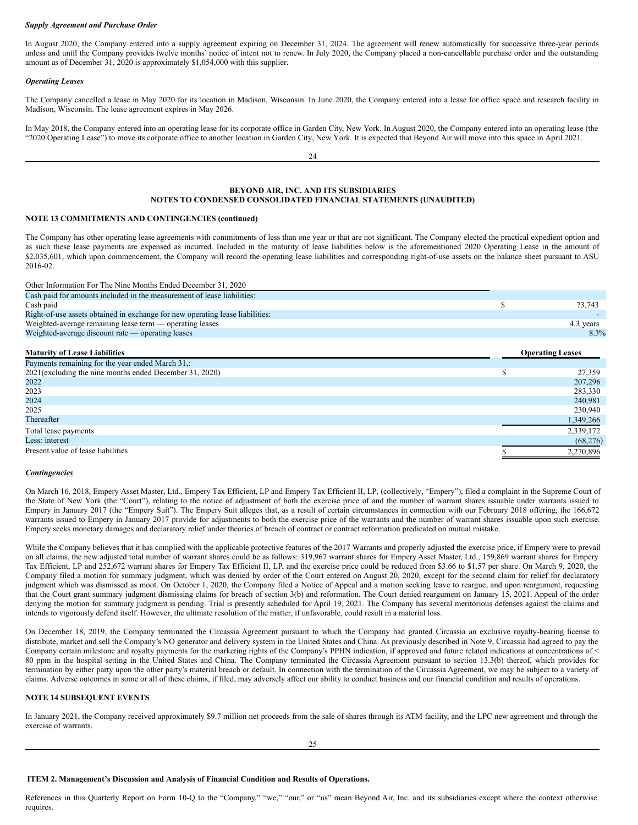### *Supply Agreement and Purchase Order*

In August 2020, the Company entered into a supply agreement expiring on December 31, 2024. The agreement will renew automatically for successive three-year periods unless and until the Company provides twelve months' notice of intent not to renew. In July 2020, the Company placed a non-cancellable purchase order and the outstanding amount as of December 31, 2020 is approximately \$1,054,000 with this supplier.

## *Operating Leases*

The Company cancelled a lease in May 2020 for its location in Madison, Wisconsin. In June 2020, the Company entered into a lease for office space and research facility in Madison, Wisconsin. The lease agreement expires in May 2026.

In May 2018, the Company entered into an operating lease for its corporate office in Garden City, New York. In August 2020, the Company entered into an operating lease (the "2020 Operating Lease") to move its corporate office to another location in Garden City, New York. It is expected that Beyond Air will move into this space in April 2021.

24

# **BEYOND AIR, INC. AND ITS SUBSIDIARIES NOTES TO CONDENSED CONSOLIDATED FINANCIAL STATEMENTS (UNAUDITED)**

# **NOTE 13 COMMITMENTS AND CONTINGENCIES (continued)**

The Company has other operating lease agreements with commitments of less than one year or that are not significant. The Company elected the practical expedient option and as such these lease payments are expensed as incurred. Included in the maturity of lease liabilities below is the aforementioned 2020 Operating Lease in the amount of \$2,035,601, which upon commencement, the Company will record the operating lease liabilities and corresponding right-of-use assets on the balance sheet pursuant to ASU 2016-02.

Other Information For The Nine Months Ended December 31, 2020

| Cash paid for amounts included in the measurement of lease liabilities:       |    |                         |
|-------------------------------------------------------------------------------|----|-------------------------|
| Cash paid                                                                     | J. | 73,743                  |
| Right-of-use assets obtained in exchange for new operating lease liabilities: |    |                         |
| Weighted-average remaining lease term — operating leases                      |    | 4.3 years               |
| Weighted-average discount rate — operating leases                             |    | 8.3%                    |
|                                                                               |    |                         |
| <b>Maturity of Lease Liabilities</b>                                          |    | <b>Operating Leases</b> |
| Payments remaining for the year ended March 31,:                              |    |                         |
| 2021 (excluding the nine months ended December 31, 2020)                      | \$ | 27,359                  |
| 2022                                                                          |    | 207,296                 |
| 2023                                                                          |    | 283,330                 |
| 2024                                                                          |    | 240,981                 |
| 2025                                                                          |    | 230,940                 |
| Thereafter                                                                    |    | 1,349,266               |
| Total lease payments                                                          |    | 2,339,172               |
| Less: interest                                                                |    | (68, 276)               |
| Present value of lease liabilities                                            |    | 2.270.896               |

# *Contingencies*

On March 16, 2018, Empery Asset Master, Ltd., Empery Tax Efficient, LP and Empery Tax Efficient II, LP, (collectively, "Empery"), filed a complaint in the Supreme Court of the State of New York (the "Court"), relating to the notice of adjustment of both the exercise price of and the number of warrant shares issuable under warrants issued to Empery in January 2017 (the "Empery Suit"). The Empery Suit alleges that, as a result of certain circumstances in connection with our February 2018 offering, the 166,672 warrants issued to Empery in January 2017 provide for adjustments to both the exercise price of the warrants and the number of warrant shares issuable upon such exercise. Empery seeks monetary damages and declaratory relief under theories of breach of contract or contract reformation predicated on mutual mistake.

While the Company believes that it has complied with the applicable protective features of the 2017 Warrants and properly adjusted the exercise price, if Empery were to prevail on all claims, the new adjusted total number of warrant shares could be as follows: 319,967 warrant shares for Empery Asset Master, Ltd., 159,869 warrant shares for Empery Tax Efficient, LP and 252,672 warrant shares for Empery Tax Efficient II, LP, and the exercise price could be reduced from \$3.66 to \$1.57 per share. On March 9, 2020, the Company filed a motion for summary judgment, which was denied by order of the Court entered on August 20, 2020, except for the second claim for relief for declaratory judgment which was dismissed as moot. On October 1, 2020, the Company filed a Notice of Appeal and a motion seeking leave to reargue, and upon reargument, requesting that the Court grant summary judgment dismissing claims for breach of section 3(b) and reformation. The Court denied reargument on January 15, 2021. Appeal of the order denying the motion for summary judgment is pending. Trial is presently scheduled for April 19, 2021. The Company has several meritorious defenses against the claims and intends to vigorously defend itself. However, the ultimate resolution of the matter, if unfavorable, could result in a material loss.

On December 18, 2019, the Company terminated the Circassia Agreement pursuant to which the Company had granted Circassia an exclusive royalty-bearing license to distribute, market and sell the Company's NO generator and delivery system in the United States and China. As previously described in Note 9, Circassia had agreed to pay the Company certain milestone and royalty payments for the marketing rights of the Company's PPHN indication, if approved and future related indications at concentrations of < 80 ppm in the hospital setting in the United States and China. The Company terminated the Circassia Agreement pursuant to section 13.3(b) thereof, which provides for termination by either party upon the other party's material breach or default. In connection with the termination of the Circassia Agreement, we may be subject to a variety of claims. Adverse outcomes in some or all of these claims, if filed, may adversely affect our ability to conduct business and our financial condition and results of operations.

### **NOTE 14 SUBSEQUENT EVENTS**

In January 2021, the Company received approximately \$9.7 million net proceeds from the sale of shares through its ATM facility, and the LPC new agreement and through the exercise of warrants.

 $25$ 

### <span id="page-13-0"></span>**ITEM 2. Management's Discussion and Analysis of Financial Condition and Results of Operations.**

References in this Quarterly Report on Form 10-Q to the "Company," "we," "our," or "us" mean Beyond Air, Inc. and its subsidiaries except where the context otherwise requires.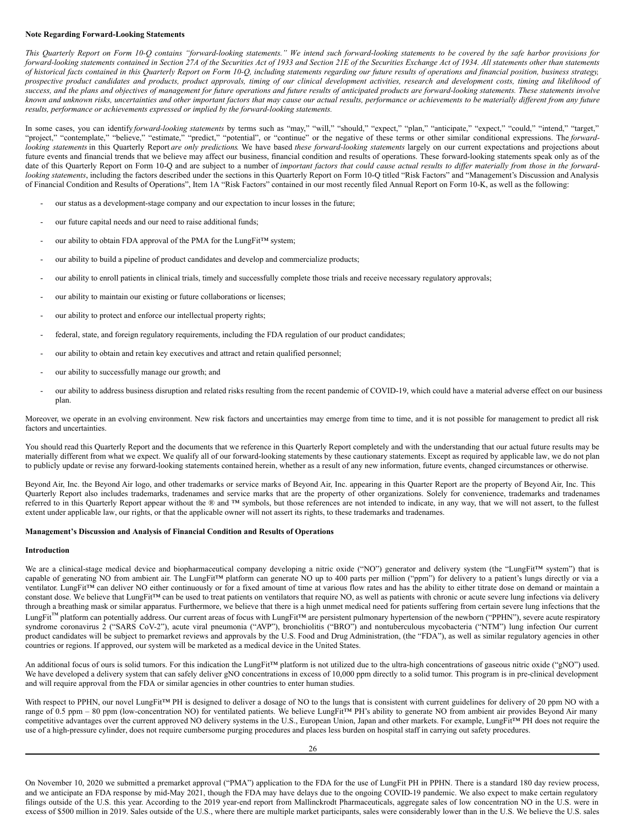### **Note Regarding Forward-Looking Statements**

This Quarterly Report on Form 10-Q contains "forward-looking statements." We intend such forward-looking statements to be covered by the safe harbor provisions for forward-looking statements contained in Section 27A of the Securities Act of 1933 and Section 21E of the Securities Exchange Act of 1934. All statements other than statements of historical facts contained in this Quarterly Report on Form 10-Q, including statements regarding our future results of operations and financial position, business strategy, prospective product candidates and products, product approvals, timing of our clinical development activities, research and development costs, timing and likelihood of success, and the plans and objectives of management for future operations and future results of anticipated products are forward-looking statements. These statements involve known and unknown risks, uncertainties and other important factors that may cause our actual results, performance or achievements to be materially different from any future *results, performance or achievements expressed or implied by the forward-looking statements.*

In some cases, you can identify *forward-looking statements* by terms such as "may," "will," "should," "expect," "plan," "anticipate," "expect," "could," "intend," "target," "project," "contemplate," "believe," "estimate," "predict," "potential", or "continue" or the negative of these terms or other similar conditional expressions. The *forward*looking statements in this Quarterly Report are only predictions. We have based these forward-looking statements largely on our current expectations and projections about future events and financial trends that we believe may affect our business, financial condition and results of operations. These forward-looking statements speak only as of the date of this Quarterly Report on Form 10-Q and are subject to a number of important factors that could cause actual results to differ materially from those in the forward*looking statements*, including the factors described under the sections in this Quarterly Report on Form 10-Q titled "Risk Factors" and "Management's Discussion and Analysis of Financial Condition and Results of Operations", Item 1A "Risk Factors" contained in our most recently filed Annual Report on Form 10-K, as well as the following:

- our status as a development-stage company and our expectation to incur losses in the future;
- our future capital needs and our need to raise additional funds;
- our ability to obtain FDA approval of the PMA for the LungFit™ system;
- our ability to build a pipeline of product candidates and develop and commercialize products;
- our ability to enroll patients in clinical trials, timely and successfully complete those trials and receive necessary regulatory approvals;
- our ability to maintain our existing or future collaborations or licenses;
- our ability to protect and enforce our intellectual property rights;
- federal, state, and foreign regulatory requirements, including the FDA regulation of our product candidates;
- our ability to obtain and retain key executives and attract and retain qualified personnel;
- our ability to successfully manage our growth; and
- our ability to address business disruption and related risks resulting from the recent pandemic of COVID-19, which could have a material adverse effect on our business plan.

Moreover, we operate in an evolving environment. New risk factors and uncertainties may emerge from time to time, and it is not possible for management to predict all risk factors and uncertainties.

You should read this Quarterly Report and the documents that we reference in this Quarterly Report completely and with the understanding that our actual future results may be materially different from what we expect. We qualify all of our forward-looking statements by these cautionary statements. Except as required by applicable law, we do not plan to publicly update or revise any forward-looking statements contained herein, whether as a result of any new information, future events, changed circumstances or otherwise.

Beyond Air, Inc. the Beyond Air logo, and other trademarks or service marks of Beyond Air, Inc. appearing in this Quarter Report are the property of Beyond Air, Inc. This Quarterly Report also includes trademarks, tradenames and service marks that are the property of other organizations. Solely for convenience, trademarks and tradenames referred to in this Quarterly Report appear without the ® and ™ symbols, but those references are not intended to indicate, in any way, that we will not assert, to the fullest extent under applicable law, our rights, or that the applicable owner will not assert its rights, to these trademarks and tradenames.

# **Management's Discussion and Analysis of Financial Condition and Results of Operations**

### **Introduction**

We are a clinical-stage medical device and biopharmaceutical company developing a nitric oxide ("NO") generator and delivery system (the "LungFit™ system") that is capable of generating NO from ambient air. The LungFit™ platform can generate NO up to 400 parts per million ("ppm") for delivery to a patient's lungs directly or via a ventilator. LungFit™ can deliver NO either continuously or for a fixed amount of time at various flow rates and has the ability to either titrate dose on demand or maintain a constant dose. We believe that LungFit™ can be used to treat patients on ventilators that require NO, as well as patients with chronic or acute severe lung infections via delivery through a breathing mask or similar apparatus. Furthermore, we believe that there is a high unmet medical need for patients suffering from certain severe lung infections that the LungFit<sup>™</sup> platform can potentially address. Our current areas of focus with LungFit™ are persistent pulmonary hypertension of the newborn ("PPHN"), severe acute respiratory syndrome coronavirus 2 ("SARS CoV-2"), acute viral pneumonia ("AVP"), bronchiolitis ("BRO") and nontuberculous mycobacteria ("NTM") lung infection Our current product candidates will be subject to premarket reviews and approvals by the U.S. Food and Drug Administration, (the "FDA"), as well as similar regulatory agencies in other countries or regions. If approved, our system will be marketed as a medical device in the United States.

An additional focus of ours is solid tumors. For this indication the LungFit™ platform is not utilized due to the ultra-high concentrations of gaseous nitric oxide ("gNO") used. We have developed a delivery system that can safely deliver gNO concentrations in excess of 10,000 ppm directly to a solid tumor. This program is in pre-clinical development and will require approval from the FDA or similar agencies in other countries to enter human studies.

With respect to PPHN, our novel LungFit™ PH is designed to deliver a dosage of NO to the lungs that is consistent with current guidelines for delivery of 20 ppm NO with a range of 0.5 ppm − 80 ppm (low-concentration NO) for ventilated patients. We believe LungFit™ PH's ability to generate NO from ambient air provides Beyond Air many competitive advantages over the current approved NO delivery systems in the U.S., European Union, Japan and other markets. For example, LungFit™ PH does not require the use of a high-pressure cylinder, does not require cumbersome purging procedures and places less burden on hospital staff in carrying out safety procedures.

On November 10, 2020 we submitted a premarket approval ("PMA") application to the FDA for the use of LungFit PH in PPHN. There is a standard 180 day review process, and we anticipate an FDA response by mid-May 2021, though the FDA may have delays due to the ongoing COVID-19 pandemic. We also expect to make certain regulatory filings outside of the U.S. this year. According to the 2019 year-end report from Mallinckrodt Pharmaceuticals, aggregate sales of low concentration NO in the U.S. were in excess of \$500 million in 2019. Sales outside of the U.S., where there are multiple market participants, sales were considerably lower than in the U.S. We believe the U.S. sales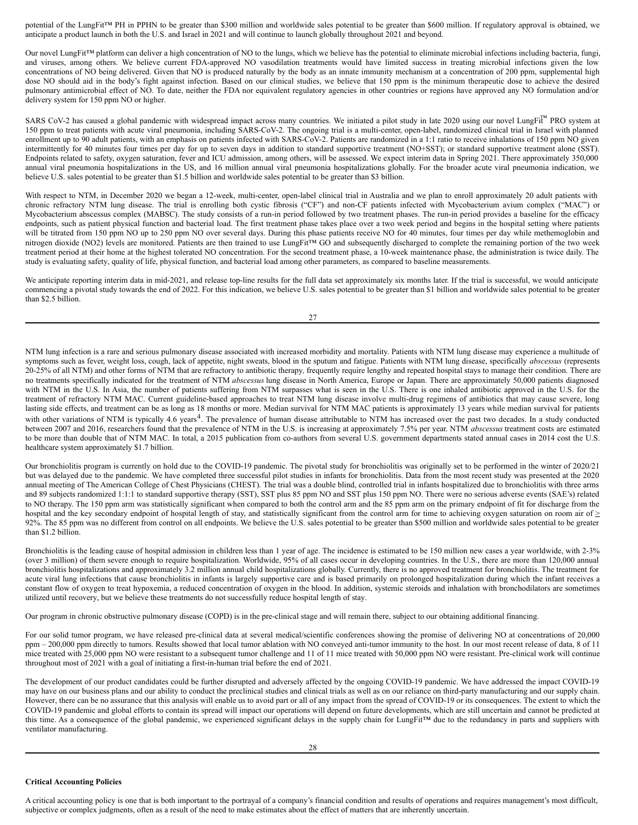potential of the LungFit™ PH in PPHN to be greater than \$300 million and worldwide sales potential to be greater than \$600 million. If regulatory approval is obtained, we anticipate a product launch in both the U.S. and Israel in 2021 and will continue to launch globally throughout 2021 and beyond.

Our novel LungFit™ platform can deliver a high concentration of NO to the lungs, which we believe has the potential to eliminate microbial infections including bacteria, fungi, and viruses, among others. We believe current FDA-approved NO vasodilation treatments would have limited success in treating microbial infections given the low concentrations of NO being delivered. Given that NO is produced naturally by the body as an innate immunity mechanism at a concentration of 200 ppm, supplemental high dose NO should aid in the body's fight against infection. Based on our clinical studies, we believe that 150 ppm is the minimum therapeutic dose to achieve the desired pulmonary antimicrobial effect of NO. To date, neither the FDA nor equivalent regulatory agencies in other countries or regions have approved any NO formulation and/or delivery system for 150 ppm NO or higher.

SARS CoV-2 has caused a global pandemic with widespread impact across many countries. We initiated a pilot study in late 2020 using our novel LungFi™ PRO system at 150 ppm to treat patients with acute viral pneumonia, including SARS-CoV-2. The ongoing trial is a multi-center, open-label, randomized clinical trial in Israel with planned enrollment up to 90 adult patients, with an emphasis on patients infected with SARS-CoV-2. Patients are randomized in a 1:1 ratio to receive inhalations of 150 ppm NO given intermittently for 40 minutes four times per day for up to seven days in addition to standard supportive treatment (NO+SST); or standard supportive treatment alone (SST). Endpoints related to safety, oxygen saturation, fever and ICU admission, among others, will be assessed. We expect interim data in Spring 2021. There approximately 350,000 annual viral pneumonia hospitalizations in the US, and 16 million annual viral pneumonia hospitalizations globally. For the broader acute viral pneumonia indication, we believe U.S. sales potential to be greater than \$1.5 billion and worldwide sales potential to be greater than \$3 billion.

With respect to NTM, in December 2020 we began a 12-week, multi-center, open-label clinical trial in Australia and we plan to enroll approximately 20 adult patients with chronic refractory NTM lung disease. The trial is enrolling both cystic fibrosis ("CF") and non-CF patients infected with Mycobacterium avium complex ("MAC") or Mycobacterium abscessus complex (MABSC). The study consists of a run-in period followed by two treatment phases. The run-in period provides a baseline for the efficacy endpoints, such as patient physical function and bacterial load. The first treatment phase takes place over a two week period and begins in the hospital setting where patients will be titrated from 150 ppm NO up to 250 ppm NO over several days. During this phase patients receive NO for 40 minutes, four times per day while methemoglobin and nitrogen dioxide (NO2) levels are monitored. Patients are then trained to use LungFit™ GO and subsequently discharged to complete the remaining portion of the two week treatment period at their home at the highest tolerated NO concentration. For the second treatment phase, a 10-week maintenance phase, the administration is twice daily. The study is evaluating safety, quality of life, physical function, and bacterial load among other parameters, as compared to baseline measurements.

We anticipate reporting interim data in mid-2021, and release top-line results for the full data set approximately six months later. If the trial is successful, we would anticipate commencing a pivotal study towards the end of 2022. For this indication, we believe U.S. sales potential to be greater than \$1 billion and worldwide sales potential to be greater than \$2.5 billion.

| I |  |
|---|--|

NTM lung infection is a rare and serious pulmonary disease associated with increased morbidity and mortality. Patients with NTM lung disease may experience a multitude of symptoms such as fever, weight loss, cough, lack of appetite, night sweats, blood in the sputum and fatigue. Patients with NTM lung disease, specifically *abscessus* (represents 20-25% of all NTM) and other forms of NTM that are refractory to antibiotic therapy*,* frequently require lengthy and repeated hospital stays to manage their condition. There are no treatments specifically indicated for the treatment of NTM *abscessus* lung disease in North America, Europe or Japan. There are approximately 50,000 patients diagnosed with NTM in the U.S. In Asia, the number of patients suffering from NTM surpasses what is seen in the U.S. There is one inhaled antibiotic approved in the U.S. for the treatment of refractory NTM MAC. Current guideline-based approaches to treat NTM lung disease involve multi-drug regimens of antibiotics that may cause severe, long lasting side effects, and treatment can be as long as 18 months or more. Median survival for NTM MAC patients is approximately 13 years while median survival for patients with other variations of NTM is typically 4.6 years<sup>4</sup>. The prevalence of human disease attributable to NTM has increased over the past two decades. In a study conducted between 2007 and 2016, researchers found that the prevalence of NTM in the U.S. is increasing at approximately 7.5% per year. NTM *abscessus* treatment costs are estimated to be more than double that of NTM MAC. In total, a 2015 publication from co-authors from several U.S. government departments stated annual cases in 2014 cost the U.S. healthcare system approximately \$1.7 billion.

Our bronchiolitis program is currently on hold due to the COVID-19 pandemic. The pivotal study for bronchiolitis was originally set to be performed in the winter of 2020/21 but was delayed due to the pandemic. We have completed three successful pilot studies in infants for bronchiolitis. Data from the most recent study was presented at the 2020 annual meeting of The American College of Chest Physicians (CHEST). The trial was a double blind, controlled trial in infants hospitalized due to bronchiolitis with three arms and 89 subjects randomized 1:1:1 to standard supportive therapy (SST), SST plus 85 ppm NO and SST plus 150 ppm NO. There were no serious adverse events (SAE's) related to NO therapy. The 150 ppm arm was statistically significant when compared to both the control arm and the 85 ppm arm on the primary endpoint of fit for discharge from the hospital and the key secondary endpoint of hospital length of stay, and statistically significant from the control arm for time to achieving oxygen saturation on room air of  $\geq$ 92%. The 85 ppm was no different from control on all endpoints. We believe the U.S. sales potential to be greater than \$500 million and worldwide sales potential to be greater than \$1.2 billion.

Bronchiolitis is the leading cause of hospital admission in children less than 1 year of age. The incidence is estimated to be 150 million new cases a year worldwide, with 2-3% (over 3 million) of them severe enough to require hospitalization. Worldwide, 95% of all cases occur in developing countries. In the U.S., there are more than 120,000 annual bronchiolitis hospitalizations and approximately 3.2 million annual child hospitalizations globally. Currently, there is no approved treatment for bronchiolitis. The treatment for acute viral lung infections that cause bronchiolitis in infants is largely supportive care and is based primarily on prolonged hospitalization during which the infant receives a constant flow of oxygen to treat hypoxemia, a reduced concentration of oxygen in the blood. In addition, systemic steroids and inhalation with bronchodilators are sometimes utilized until recovery, but we believe these treatments do not successfully reduce hospital length of stay.

Our program in chronic obstructive pulmonary disease (COPD) is in the pre-clinical stage and will remain there, subject to our obtaining additional financing.

For our solid tumor program, we have released pre-clinical data at several medical/scientific conferences showing the promise of delivering NO at concentrations of 20,000 ppm – 200,000 ppm directly to tumors. Results showed that local tumor ablation with NO conveyed anti-tumor immunity to the host. In our most recent release of data, 8 of 11 mice treated with 25,000 ppm NO were resistant to a subsequent tumor challenge and 11 of 11 mice treated with 50,000 ppm NO were resistant. Pre-clinical work will continue throughout most of 2021 with a goal of initiating a first-in-human trial before the end of 2021.

The development of our product candidates could be further disrupted and adversely affected by the ongoing COVID-19 pandemic. We have addressed the impact COVID-19 may have on our business plans and our ability to conduct the preclinical studies and clinical trials as well as on our reliance on third-party manufacturing and our supply chain. However, there can be no assurance that this analysis will enable us to avoid part or all of any impact from the spread of COVID-19 or its consequences. The extent to which the COVID-19 pandemic and global efforts to contain its spread will impact our operations will depend on future developments, which are still uncertain and cannot be predicted at this time. As a consequence of the global pandemic, we experienced significant delays in the supply chain for LungFit™ due to the redundancy in parts and suppliers with ventilator manufacturing.

### **Critical Accounting Policies**

A critical accounting policy is one that is both important to the portrayal of a company's financial condition and results of operations and requires management's most difficult, subjective or complex judgments, often as a result of the need to make estimates about the effect of matters that are inherently uncertain.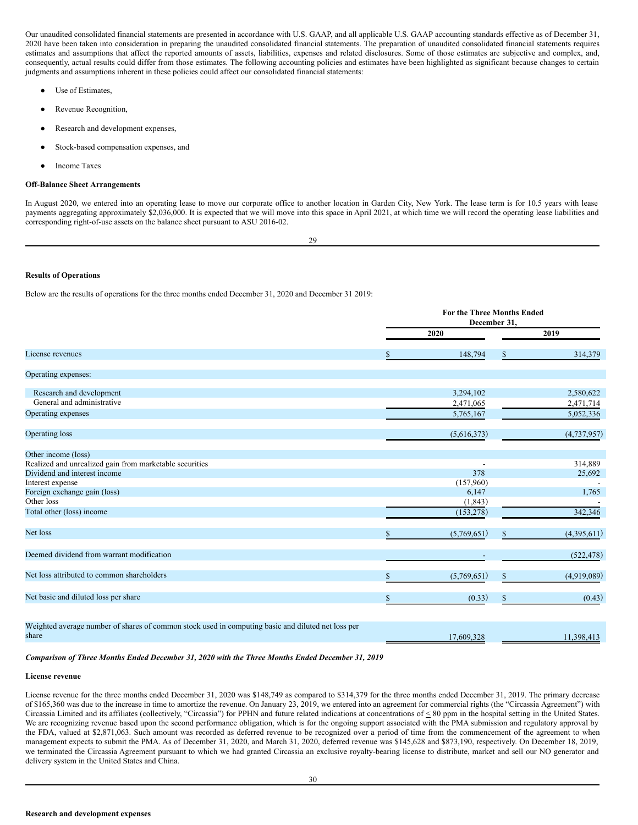Our unaudited consolidated financial statements are presented in accordance with U.S. GAAP, and all applicable U.S. GAAP accounting standards effective as of December 31, 2020 have been taken into consideration in preparing the unaudited consolidated financial statements. The preparation of unaudited consolidated financial statements requires estimates and assumptions that affect the reported amounts of assets, liabilities, expenses and related disclosures. Some of those estimates are subjective and complex, and, consequently, actual results could differ from those estimates. The following accounting policies and estimates have been highlighted as significant because changes to certain judgments and assumptions inherent in these policies could affect our consolidated financial statements:

- Use of Estimates,
- Revenue Recognition,
- Research and development expenses,
- Stock-based compensation expenses, and
- **Income Taxes**

# **Off-Balance Sheet Arrangements**

In August 2020, we entered into an operating lease to move our corporate office to another location in Garden City, New York. The lease term is for 10.5 years with lease payments aggregating approximately \$2,036,000. It is expected that we will move into this space in April 2021, at which time we will record the operating lease liabilities and corresponding right-of-use assets on the balance sheet pursuant to ASU 2016-02.

29

# **Results of Operations**

Below are the results of operations for the three months ended December 31, 2020 and December 31 2019:

|                                                                                                             | <b>For the Three Months Ended</b><br>December 31, |                        |               |                        |
|-------------------------------------------------------------------------------------------------------------|---------------------------------------------------|------------------------|---------------|------------------------|
|                                                                                                             |                                                   | 2020                   |               | 2019                   |
| License revenues                                                                                            |                                                   | 148,794                | \$            | 314,379                |
| Operating expenses:                                                                                         |                                                   |                        |               |                        |
| Research and development                                                                                    |                                                   | 3,294,102              |               | 2,580,622              |
| General and administrative<br>Operating expenses                                                            |                                                   | 2,471,065<br>5,765,167 |               | 2,471,714<br>5,052,336 |
| <b>Operating loss</b>                                                                                       |                                                   | (5,616,373)            |               | (4,737,957)            |
| Other income (loss)                                                                                         |                                                   |                        |               |                        |
| Realized and unrealized gain from marketable securities                                                     |                                                   |                        |               | 314,889                |
| Dividend and interest income                                                                                |                                                   | 378                    |               | 25,692                 |
| Interest expense                                                                                            |                                                   | (157,960)              |               |                        |
| Foreign exchange gain (loss)                                                                                |                                                   | 6,147                  |               | 1,765                  |
| Other loss                                                                                                  |                                                   | (1, 843)               |               |                        |
| Total other (loss) income                                                                                   |                                                   | (153, 278)             |               | 342,346                |
| Net loss                                                                                                    |                                                   | (5,769,651)            |               | (4,395,611)            |
| Deemed dividend from warrant modification                                                                   |                                                   |                        |               | (522, 478)             |
| Net loss attributed to common shareholders                                                                  |                                                   | (5,769,651)            | \$            | (4,919,089)            |
| Net basic and diluted loss per share                                                                        | S                                                 | (0.33)                 | <sup>\$</sup> | (0.43)                 |
|                                                                                                             |                                                   |                        |               |                        |
| Weighted average number of shares of common stock used in computing basic and diluted net loss per<br>share |                                                   | 17,609,328             |               | 11,398,413             |
|                                                                                                             |                                                   |                        |               |                        |

# *Comparison of Three Months Ended December 31, 2020 with the Three Months Ended December 31, 2019*

#### **License revenue**

License revenue for the three months ended December 31, 2020 was \$148,749 as compared to \$314,379 for the three months ended December 31, 2019. The primary decrease of \$165,360 was due to the increase in time to amortize the revenue. On January 23, 2019, we entered into an agreement for commercial rights (the "Circassia Agreement") with Circassia Limited and its affiliates (collectively, "Circassia") for PPHN and future related indications at concentrations of < 80 ppm in the hospital setting in the United States. We are recognizing revenue based upon the second performance obligation, which is for the ongoing support associated with the PMA submission and regulatory approval by the FDA, valued at \$2,871,063. Such amount was recorded as deferred revenue to be recognized over a period of time from the commencement of the agreement to when management expects to submit the PMA. As of December 31, 2020, and March 31, 2020, deferred revenue was \$145,628 and \$873,190, respectively. On December 18, 2019, we terminated the Circassia Agreement pursuant to which we had granted Circassia an exclusive royalty-bearing license to distribute, market and sell our NO generator and delivery system in the United States and China.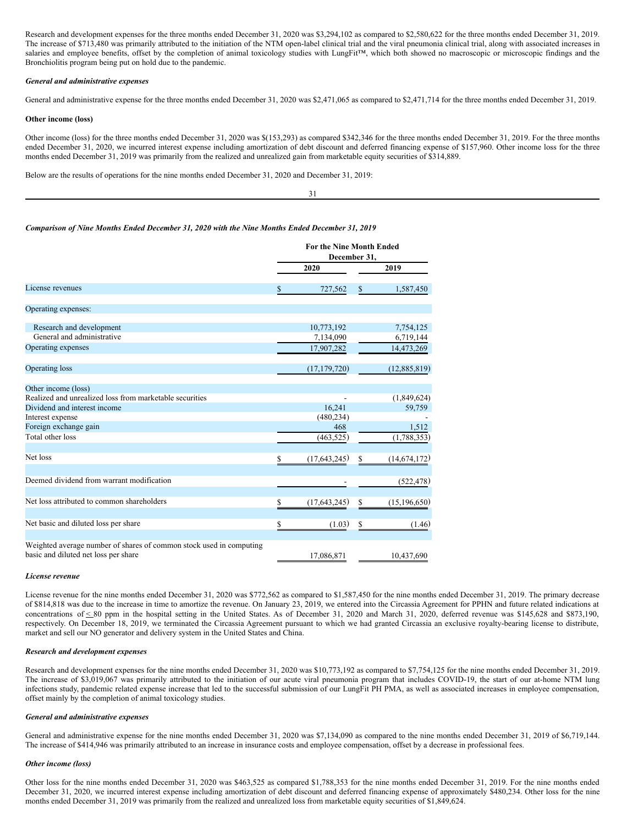Research and development expenses for the three months ended December 31, 2020 was \$3,294,102 as compared to \$2,580,622 for the three months ended December 31, 2019. The increase of \$713,480 was primarily attributed to the initiation of the NTM open-label clinical trial and the viral pneumonia clinical trial, along with associated increases in salaries and employee benefits, offset by the completion of animal toxicology studies with LungFit™, which both showed no macroscopic or microscopic findings and the Bronchiolitis program being put on hold due to the pandemic.

### *General and administrative expenses*

General and administrative expense for the three months ended December 31, 2020 was \$2,471,065 as compared to \$2,471,714 for the three months ended December 31, 2019.

### **Other income (loss)**

Other income (loss) for the three months ended December 31, 2020 was \$(153,293) as compared \$342,346 for the three months ended December 31, 2019. For the three months ended December 31, 2020, we incurred interest expense including amortization of debt discount and deferred financing expense of \$157,960. Other income loss for the three months ended December 31, 2019 was primarily from the realized and unrealized gain from marketable equity securities of \$314,889.

Below are the results of operations for the nine months ended December 31, 2020 and December 31, 2019:

#### 31

### *Comparison of Nine Months Ended December 31, 2020 with the Nine Months Ended December 31, 2019*

|                                                                                                             | <b>For the Nine Month Ended</b><br>December 31, |    |                         |  |
|-------------------------------------------------------------------------------------------------------------|-------------------------------------------------|----|-------------------------|--|
|                                                                                                             | 2020                                            |    | 2019                    |  |
| License revenues                                                                                            | \$<br>727,562                                   | \$ | 1,587,450               |  |
| Operating expenses:                                                                                         |                                                 |    |                         |  |
| Research and development<br>General and administrative                                                      | 10,773,192<br>7,134,090                         |    | 7,754,125               |  |
| Operating expenses                                                                                          | 17,907,282                                      |    | 6,719,144<br>14,473,269 |  |
| Operating loss                                                                                              | (17, 179, 720)                                  |    | (12,885,819)            |  |
| Other income (loss)                                                                                         |                                                 |    |                         |  |
| Realized and unrealized loss from marketable securities                                                     |                                                 |    | (1,849,624)             |  |
| Dividend and interest income                                                                                | 16,241                                          |    | 59,759                  |  |
| Interest expense<br>Foreign exchange gain                                                                   | (480, 234)<br>468                               |    | 1,512                   |  |
| Total other loss                                                                                            | (463, 525)                                      |    | (1,788,353)             |  |
| Net loss                                                                                                    | \$<br>(17,643,245)                              | \$ | (14, 674, 172)          |  |
| Deemed dividend from warrant modification                                                                   |                                                 |    | (522, 478)              |  |
| Net loss attributed to common shareholders                                                                  | \$<br>(17,643,245)                              | \$ | (15, 196, 650)          |  |
| Net basic and diluted loss per share                                                                        | \$<br>(1.03)                                    | \$ | (1.46)                  |  |
| Weighted average number of shares of common stock used in computing<br>basic and diluted net loss per share | 17,086,871                                      |    | 10,437,690              |  |

### *License revenue*

License revenue for the nine months ended December 31, 2020 was \$772,562 as compared to \$1,587,450 for the nine months ended December 31, 2019. The primary decrease of \$814,818 was due to the increase in time to amortize the revenue. On January 23, 2019, we entered into the Circassia Agreement for PPHN and future related indications at concentrations of  $\leq 80$  ppm in the hospital setting in the United States. As of December 31, 2020 and March 31, 2020, deferred revenue was \$145,628 and \$873,190, respectively. On December 18, 2019, we terminated the Circassia Agreement pursuant to which we had granted Circassia an exclusive royalty-bearing license to distribute, market and sell our NO generator and delivery system in the United States and China.

### *Research and development expenses*

Research and development expenses for the nine months ended December 31, 2020 was \$10,773,192 as compared to \$7,754,125 for the nine months ended December 31, 2019. The increase of \$3,019,067 was primarily attributed to the initiation of our acute viral pneumonia program that includes COVID-19, the start of our at-home NTM lung infections study, pandemic related expense increase that led to the successful submission of our LungFit PH PMA, as well as associated increases in employee compensation, offset mainly by the completion of animal toxicology studies.

### *General and administrative expenses*

General and administrative expense for the nine months ended December 31, 2020 was \$7,134,090 as compared to the nine months ended December 31, 2019 of \$6,719,144. The increase of \$414,946 was primarily attributed to an increase in insurance costs and employee compensation, offset by a decrease in professional fees.

#### *Other income (loss)*

Other loss for the nine months ended December 31, 2020 was \$463,525 as compared \$1,788,353 for the nine months ended December 31, 2019. For the nine months ended December 31, 2020, we incurred interest expense including amortization of debt discount and deferred financing expense of approximately \$480,234. Other loss for the nine months ended December 31, 2019 was primarily from the realized and unrealized loss from marketable equity securities of \$1,849,624.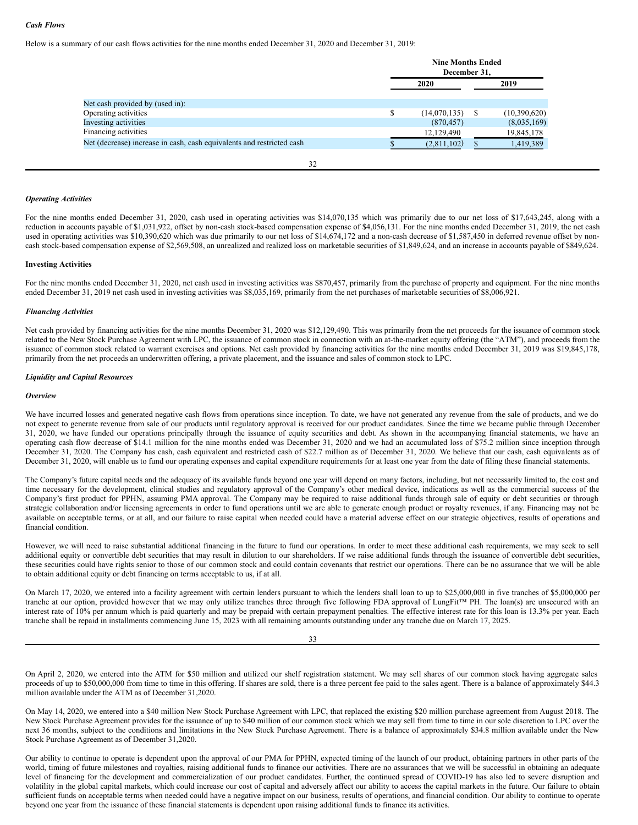# *Cash Flows*

Below is a summary of our cash flows activities for the nine months ended December 31, 2020 and December 31, 2019:

|                                                                       | <b>Nine Months Ended</b><br>December 31. |              |  |              |  |
|-----------------------------------------------------------------------|------------------------------------------|--------------|--|--------------|--|
|                                                                       | 2020                                     |              |  | 2019         |  |
| Net cash provided by (used in):                                       |                                          |              |  |              |  |
| Operating activities                                                  | S                                        | (14,070,135) |  | (10,390,620) |  |
| Investing activities                                                  |                                          | (870, 457)   |  | (8,035,169)  |  |
| Financing activities                                                  |                                          | 12,129,490   |  | 19,845,178   |  |
| Net (decrease) increase in cash, cash equivalents and restricted cash |                                          | (2,811,102)  |  | 1,419,389    |  |

32

# *Operating Activities*

For the nine months ended December 31, 2020, cash used in operating activities was \$14,070,135 which was primarily due to our net loss of \$17,643,245, along with a reduction in accounts payable of \$1,031,922, offset by non-cash stock-based compensation expense of \$4,056,131. For the nine months ended December 31, 2019, the net cash used in operating activities was \$10,390,620 which was due primarily to our net loss of \$14,674,172 and a non-cash decrease of \$1,587,450 in deferred revenue offset by noncash stock-based compensation expense of \$2,569,508, an unrealized and realized loss on marketable securities of \$1,849,624, and an increase in accounts payable of \$849,624.

### **Investing Activities**

For the nine months ended December 31, 2020, net cash used in investing activities was \$870,457, primarily from the purchase of property and equipment. For the nine months ended December 31, 2019 net cash used in investing activities was \$8,035,169, primarily from the net purchases of marketable securities of \$8,006,921.

### *Financing Activities*

Net cash provided by financing activities for the nine months December 31, 2020 was \$12,129,490. This was primarily from the net proceeds for the issuance of common stock related to the New Stock Purchase Agreement with LPC, the issuance of common stock in connection with an at-the-market equity offering (the "ATM"), and proceeds from the issuance of common stock related to warrant exercises and options. Net cash provided by financing activities for the nine months ended December 31, 2019 was \$19,845,178, primarily from the net proceeds an underwritten offering, a private placement, and the issuance and sales of common stock to LPC.

### *Liquidity and Capital Resources*

#### *Overview*

We have incurred losses and generated negative cash flows from operations since inception. To date, we have not generated any revenue from the sale of products, and we do not expect to generate revenue from sale of our products until regulatory approval is received for our product candidates. Since the time we became public through December 31, 2020, we have funded our operations principally through the issuance of equity securities and debt. As shown in the accompanying financial statements, we have an operating cash flow decrease of \$14.1 million for the nine months ended was December 31, 2020 and we had an accumulated loss of \$75.2 million since inception through December 31, 2020. The Company has cash, cash equivalent and restricted cash of \$22.7 million as of December 31, 2020. We believe that our cash, cash equivalents as of December 31, 2020, will enable us to fund our operating expenses and capital expenditure requirements for at least one year from the date of filing these financial statements.

The Company's future capital needs and the adequacy of its available funds beyond one year will depend on many factors, including, but not necessarily limited to, the cost and time necessary for the development, clinical studies and regulatory approval of the Company's other medical device, indications as well as the commercial success of the Company's first product for PPHN, assuming PMA approval. The Company may be required to raise additional funds through sale of equity or debt securities or through strategic collaboration and/or licensing agreements in order to fund operations until we are able to generate enough product or royalty revenues, if any. Financing may not be available on acceptable terms, or at all, and our failure to raise capital when needed could have a material adverse effect on our strategic objectives, results of operations and financial condition.

However, we will need to raise substantial additional financing in the future to fund our operations. In order to meet these additional cash requirements, we may seek to sell additional equity or convertible debt securities that may result in dilution to our shareholders. If we raise additional funds through the issuance of convertible debt securities, these securities could have rights senior to those of our common stock and could contain covenants that restrict our operations. There can be no assurance that we will be able to obtain additional equity or debt financing on terms acceptable to us, if at all.

On March 17, 2020, we entered into a facility agreement with certain lenders pursuant to which the lenders shall loan to up to \$25,000,000 in five tranches of \$5,000,000 per tranche at our option, provided however that we may only utilize tranches three through five following FDA approval of LungFit™ PH. The loan(s) are unsecured with an interest rate of 10% per annum which is paid quarterly and may be prepaid with certain prepayment penalties. The effective interest rate for this loan is 13.3% per year. Each tranche shall be repaid in installments commencing June 15, 2023 with all remaining amounts outstanding under any tranche due on March 17, 2025.

33

On April 2, 2020, we entered into the ATM for \$50 million and utilized our shelf registration statement. We may sell shares of our common stock having aggregate sales proceeds of up to \$50,000,000 from time to time in this offering. If shares are sold, there is a three percent fee paid to the sales agent. There is a balance of approximately \$44.3 million available under the ATM as of December 31,2020.

On May 14, 2020, we entered into a \$40 million New Stock Purchase Agreement with LPC, that replaced the existing \$20 million purchase agreement from August 2018. The New Stock Purchase Agreement provides for the issuance of up to \$40 million of our common stock which we may sell from time to time in our sole discretion to LPC over the next 36 months, subject to the conditions and limitations in the New Stock Purchase Agreement. There is a balance of approximately \$34.8 million available under the New Stock Purchase Agreement as of December 31,2020.

Our ability to continue to operate is dependent upon the approval of our PMA for PPHN, expected timing of the launch of our product, obtaining partners in other parts of the world, timing of future milestones and royalties, raising additional funds to finance our activities. There are no assurances that we will be successful in obtaining an adequate level of financing for the development and commercialization of our product candidates. Further, the continued spread of COVID-19 has also led to severe disruption and volatility in the global capital markets, which could increase our cost of capital and adversely affect our ability to access the capital markets in the future. Our failure to obtain sufficient funds on acceptable terms when needed could have a negative impact on our business, results of operations, and financial condition. Our ability to continue to operate beyond one year from the issuance of these financial statements is dependent upon raising additional funds to finance its activities.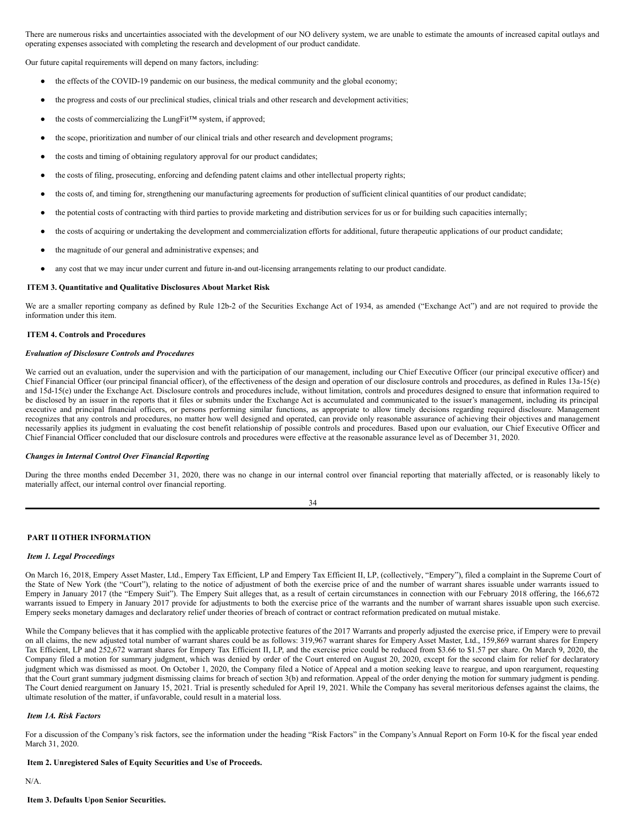There are numerous risks and uncertainties associated with the development of our NO delivery system, we are unable to estimate the amounts of increased capital outlays and operating expenses associated with completing the research and development of our product candidate.

Our future capital requirements will depend on many factors, including:

- the effects of the COVID-19 pandemic on our business, the medical community and the global economy;
- the progress and costs of our preclinical studies, clinical trials and other research and development activities;
- the costs of commercializing the LungFit™ system, if approved;
- the scope, prioritization and number of our clinical trials and other research and development programs;
- the costs and timing of obtaining regulatory approval for our product candidates;
- the costs of filing, prosecuting, enforcing and defending patent claims and other intellectual property rights;
- the costs of, and timing for, strengthening our manufacturing agreements for production of sufficient clinical quantities of our product candidate;
- the potential costs of contracting with third parties to provide marketing and distribution services for us or for building such capacities internally;
- the costs of acquiring or undertaking the development and commercialization efforts for additional, future therapeutic applications of our product candidate;
- the magnitude of our general and administrative expenses; and
- any cost that we may incur under current and future in-and out-licensing arrangements relating to our product candidate.

### <span id="page-19-0"></span>**ITEM 3. Quantitative and Qualitative Disclosures About Market Risk**

We are a smaller reporting company as defined by Rule 12b-2 of the Securities Exchange Act of 1934, as amended ("Exchange Act") and are not required to provide the information under this item.

### <span id="page-19-1"></span>**ITEM 4. Controls and Procedures**

### *Evaluation of Disclosure Controls and Procedures*

We carried out an evaluation, under the supervision and with the participation of our management, including our Chief Executive Officer (our principal executive officer) and Chief Financial Officer (our principal financial officer), of the effectiveness of the design and operation of our disclosure controls and procedures, as defined in Rules 13a-15(e) and 15d-15(e) under the Exchange Act. Disclosure controls and procedures include, without limitation, controls and procedures designed to ensure that information required to be disclosed by an issuer in the reports that it files or submits under the Exchange Act is accumulated and communicated to the issuer's management, including its principal executive and principal financial officers, or persons performing similar functions, as appropriate to allow timely decisions regarding required disclosure. Management recognizes that any controls and procedures, no matter how well designed and operated, can provide only reasonable assurance of achieving their objectives and management necessarily applies its judgment in evaluating the cost benefit relationship of possible controls and procedures. Based upon our evaluation, our Chief Executive Officer and Chief Financial Officer concluded that our disclosure controls and procedures were effective at the reasonable assurance level as of December 31, 2020.

# *Changes in Internal Control Over Financial Reporting*

During the three months ended December 31, 2020, there was no change in our internal control over financial reporting that materially affected, or is reasonably likely to materially affect, our internal control over financial reporting.

# <span id="page-19-2"></span>**PART II OTHER INFORMATION**

# <span id="page-19-3"></span>*Item 1. Legal Proceedings*

On March 16, 2018, Empery Asset Master, Ltd., Empery Tax Efficient, LP and Empery Tax Efficient II, LP, (collectively, "Empery"), filed a complaint in the Supreme Court of the State of New York (the "Court"), relating to the notice of adjustment of both the exercise price of and the number of warrant shares issuable under warrants issued to Empery in January 2017 (the "Empery Suit"). The Empery Suit alleges that, as a result of certain circumstances in connection with our February 2018 offering, the 166,672 warrants issued to Empery in January 2017 provide for adjustments to both the exercise price of the warrants and the number of warrant shares issuable upon such exercise. Empery seeks monetary damages and declaratory relief under theories of breach of contract or contract reformation predicated on mutual mistake.

While the Company believes that it has complied with the applicable protective features of the 2017 Warrants and properly adjusted the exercise price, if Empery were to prevail on all claims, the new adjusted total number of warrant shares could be as follows: 319,967 warrant shares for Empery Asset Master, Ltd., 159,869 warrant shares for Empery Tax Efficient, LP and 252,672 warrant shares for Empery Tax Efficient II, LP, and the exercise price could be reduced from \$3.66 to \$1.57 per share. On March 9, 2020, the Company filed a motion for summary judgment, which was denied by order of the Court entered on August 20, 2020, except for the second claim for relief for declaratory judgment which was dismissed as moot. On October 1, 2020, the Company filed a Notice of Appeal and a motion seeking leave to reargue, and upon reargument, requesting that the Court grant summary judgment dismissing claims for breach of section 3(b) and reformation. Appeal of the order denying the motion for summary judgment is pending. The Court denied reargument on January 15, 2021. Trial is presently scheduled for April 19, 2021. While the Company has several meritorious defenses against the claims, the ultimate resolution of the matter, if unfavorable, could result in a material loss.

# <span id="page-19-4"></span>*Item 1A. Risk Factors*

For a discussion of the Company's risk factors, see the information under the heading "Risk Factors" in the Company's Annual Report on Form 10-K for the fiscal year ended March 31, 2020.

# <span id="page-19-5"></span>**Item 2. Unregistered Sales of Equity Securities and Use of Proceeds.**

<span id="page-19-6"></span>N/A.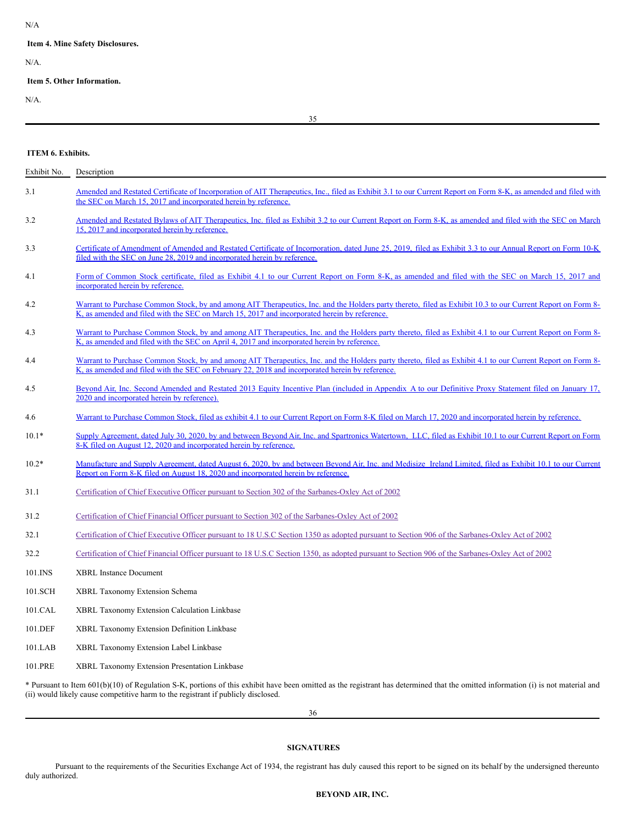### N/A

### <span id="page-20-0"></span>**Item 4. Mine Safety Disclosures.**

N/A.

# <span id="page-20-1"></span>**Item 5. Other Information.**

N/A.

35

# <span id="page-20-2"></span>**ITEM 6. Exhibits.**

| Exhibit No. | Description                                                                                                                                                                                                                                                   |
|-------------|---------------------------------------------------------------------------------------------------------------------------------------------------------------------------------------------------------------------------------------------------------------|
| 3.1         | Amended and Restated Certificate of Incorporation of AIT Therapeutics, Inc., filed as Exhibit 3.1 to our Current Report on Form 8-K, as amended and filed with<br>the SEC on March 15, 2017 and incorporated herein by reference.                             |
| 3.2         | Amended and Restated Bylaws of AIT Therapeutics, Inc. filed as Exhibit 3.2 to our Current Report on Form 8-K, as amended and filed with the SEC on March<br>15, 2017 and incorporated herein by reference.                                                    |
| 3.3         | Certificate of Amendment of Amended and Restated Certificate of Incorporation, dated June 25, 2019, filed as Exhibit 3.3 to our Annual Report on Form 10-K<br>filed with the SEC on June 28, 2019 and incorporated herein by reference.                       |
| 4.1         | Form of Common Stock certificate, filed as Exhibit 4.1 to our Current Report on Form 8-K, as amended and filed with the SEC on March 15, 2017 and<br>incorporated herein by reference.                                                                        |
| 4.2         | Warrant to Purchase Common Stock, by and among AIT Therapeutics, Inc. and the Holders party thereto, filed as Exhibit 10.3 to our Current Report on Form 8-<br>K, as amended and filed with the SEC on March 15, 2017 and incorporated herein by reference.   |
| 4.3         | Warrant to Purchase Common Stock, by and among AIT Therapeutics, Inc. and the Holders party thereto, filed as Exhibit 4.1 to our Current Report on Form 8-<br>K, as amended and filed with the SEC on April 4, 2017 and incorporated herein by reference.     |
| 4.4         | Warrant to Purchase Common Stock, by and among AIT Therapeutics, Inc. and the Holders party thereto, filed as Exhibit 4.1 to our Current Report on Form 8-<br>K, as amended and filed with the SEC on February 22, 2018 and incorporated herein by reference. |
| 4.5         | Bevond Air, Inc. Second Amended and Restated 2013 Equity Incentive Plan (included in Appendix A to our Definitive Proxy Statement filed on January 17,<br>2020 and incorporated herein by reference).                                                         |
| 4.6         | Warrant to Purchase Common Stock, filed as exhibit 4.1 to our Current Report on Form 8-K filed on March 17, 2020 and incorporated herein by reference.                                                                                                        |
| $10.1*$     | Supply Agreement, dated July 30, 2020, by and between Beyond Air, Inc. and Spartronics Watertown, LLC, filed as Exhibit 10.1 to our Current Report on Form<br>8-K filed on August 12, 2020 and incorporated herein by reference.                              |
| $10.2*$     | Manufacture and Supply Agreement, dated August 6, 2020, by and between Beyond Air, Inc. and Medisize Ireland Limited, filed as Exhibit 10.1 to our Current<br>Report on Form 8-K filed on August 18, 2020 and incorporated herein by reference.               |
| 31.1        | Certification of Chief Executive Officer pursuant to Section 302 of the Sarbanes-Oxley Act of 2002                                                                                                                                                            |
| 31.2        | Certification of Chief Financial Officer pursuant to Section 302 of the Sarbanes-Oxley Act of 2002                                                                                                                                                            |
| 32.1        | Certification of Chief Executive Officer pursuant to 18 U.S.C Section 1350 as adopted pursuant to Section 906 of the Sarbanes-Oxley Act of 2002                                                                                                               |
| 32.2        | Certification of Chief Financial Officer pursuant to 18 U.S.C Section 1350, as adopted pursuant to Section 906 of the Sarbanes-Oxley Act of 2002                                                                                                              |
| 101.INS     | <b>XBRL Instance Document</b>                                                                                                                                                                                                                                 |
| 101.SCH     | XBRL Taxonomy Extension Schema                                                                                                                                                                                                                                |
| 101.CAL     | XBRL Taxonomy Extension Calculation Linkbase                                                                                                                                                                                                                  |
| 101.DEF     | XBRL Taxonomy Extension Definition Linkbase                                                                                                                                                                                                                   |
| 101.LAB     | XBRL Taxonomy Extension Label Linkbase                                                                                                                                                                                                                        |
| 101.PRE     | <b>XBRL Taxonomy Extension Presentation Linkbase</b>                                                                                                                                                                                                          |

\* Pursuant to Item 601(b)(10) of Regulation S-K, portions of this exhibit have been omitted as the registrant has determined that the omitted information (i) is not material and (ii) would likely cause competitive harm to the registrant if publicly disclosed.

36

# <span id="page-20-3"></span>**SIGNATURES**

Pursuant to the requirements of the Securities Exchange Act of 1934, the registrant has duly caused this report to be signed on its behalf by the undersigned thereunto duly authorized.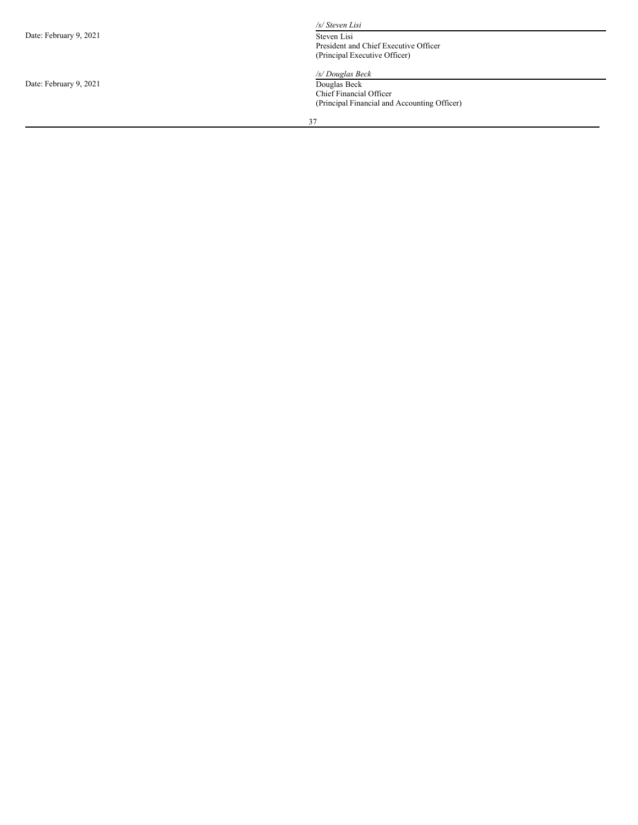| Date: February 9, 2021 |  |  |  |
|------------------------|--|--|--|
|------------------------|--|--|--|

Date: February 9, 2021

*/s/ St e v e n L is i*

Steven Lisi President and Chief Executive Officer (Principal Executive Officer)

### */s/ D o u g l a s B e c k*

Douglas Beck Chief Financial Officer (Principal Financial and Accounting Officer)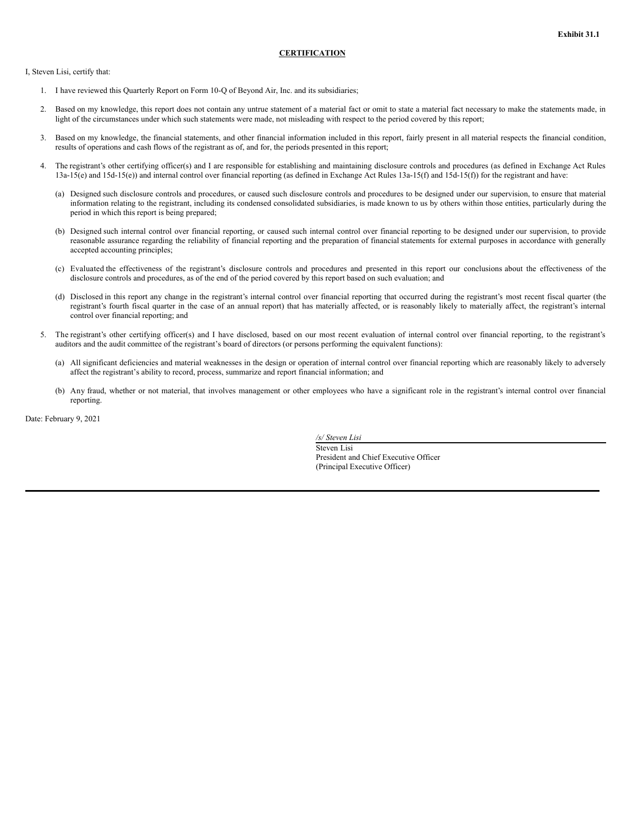<span id="page-22-0"></span>I, Steven Lisi, certify that:

- 1. I have reviewed this Quarterly Report on Form 10-Q of Beyond Air, Inc. and its subsidiaries;
- 2. Based on my knowledge, this report does not contain any untrue statement of a material fact or omit to state a material fact necessary to make the statements made, in light of the circumstances under which such statements were made, not misleading with respect to the period covered by this report;
- 3. Based on my knowledge, the financial statements, and other financial information included in this report, fairly present in all material respects the financial condition, results of operations and cash flows of the registrant as of, and for, the periods presented in this report;
- 4. The registrant's other certifying officer(s) and I are responsible for establishing and maintaining disclosure controls and procedures (as defined in Exchange Act Rules 13a-15(e) and 15d-15(e)) and internal control over financial reporting (as defined in Exchange Act Rules 13a-15(f) and 15d-15(f)) for the registrant and have:
	- (a) Designed such disclosure controls and procedures, or caused such disclosure controls and procedures to be designed under our supervision, to ensure that material information relating to the registrant, including its condensed consolidated subsidiaries, is made known to us by others within those entities, particularly during the period in which this report is being prepared;
	- (b) Designed such internal control over financial reporting, or caused such internal control over financial reporting to be designed under our supervision, to provide reasonable assurance regarding the reliability of financial reporting and the preparation of financial statements for external purposes in accordance with generally accepted accounting principles;
	- (c) Evaluated the effectiveness of the registrant's disclosure controls and procedures and presented in this report our conclusions about the effectiveness of the disclosure controls and procedures, as of the end of the period covered by this report based on such evaluation; and
	- (d) Disclosed in this report any change in the registrant's internal control over financial reporting that occurred during the registrant's most recent fiscal quarter (the registrant's fourth fiscal quarter in the case of an annual report) that has materially affected, or is reasonably likely to materially affect, the registrant's internal control over financial reporting; and
- 5. The registrant's other certifying officer(s) and I have disclosed, based on our most recent evaluation of internal control over financial reporting, to the registrant's auditors and the audit committee of the registrant's board of directors (or persons performing the equivalent functions):
	- (a) All significant deficiencies and material weaknesses in the design or operation of internal control over financial reporting which are reasonably likely to adversely affect the registrant's ability to record, process, summarize and report financial information; and
	- (b) Any fraud, whether or not material, that involves management or other employees who have a significant role in the registrant's internal control over financial reporting.

Date: February 9, 2021

*/s/ Steven Lisi* Steven Lisi President and Chief Executive Officer (Principal Executive Officer)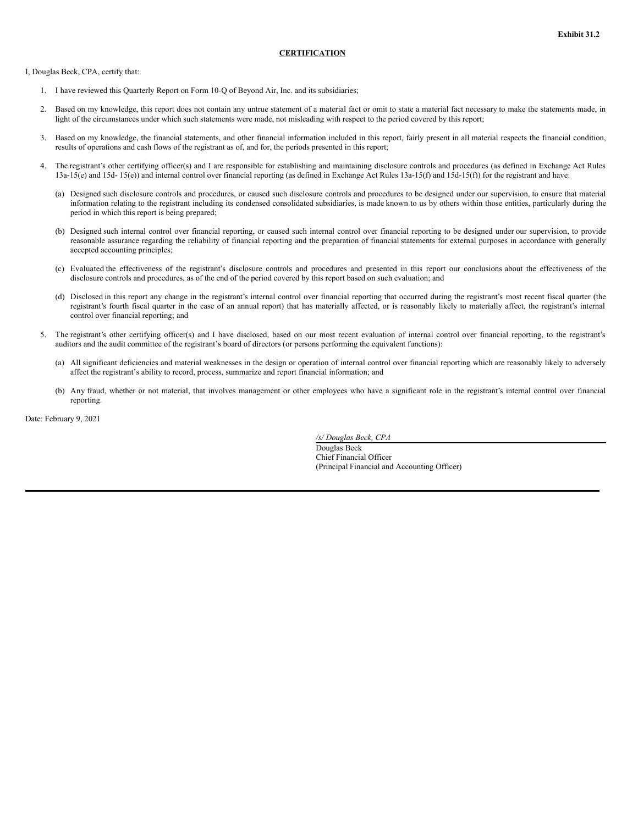<span id="page-23-0"></span>I, Douglas Beck, CPA, certify that:

- 1. I have reviewed this Quarterly Report on Form 10-Q of Beyond Air, Inc. and its subsidiaries;
- 2. Based on my knowledge, this report does not contain any untrue statement of a material fact or omit to state a material fact necessary to make the statements made, in light of the circumstances under which such statements were made, not misleading with respect to the period covered by this report;
- 3. Based on my knowledge, the financial statements, and other financial information included in this report, fairly present in all material respects the financial condition, results of operations and cash flows of the registrant as of, and for, the periods presented in this report;
- 4. The registrant's other certifying officer(s) and I are responsible for establishing and maintaining disclosure controls and procedures (as defined in Exchange Act Rules 13a-15(e) and 15d- 15(e)) and internal control over financial reporting (as defined in Exchange Act Rules 13a-15(f) and 15d-15(f)) for the registrant and have:
	- (a) Designed such disclosure controls and procedures, or caused such disclosure controls and procedures to be designed under our supervision, to ensure that material information relating to the registrant including its condensed consolidated subsidiaries, is made known to us by others within those entities, particularly during the period in which this report is being prepared;
	- (b) Designed such internal control over financial reporting, or caused such internal control over financial reporting to be designed under our supervision, to provide reasonable assurance regarding the reliability of financial reporting and the preparation of financial statements for external purposes in accordance with generally accepted accounting principles;
	- (c) Evaluated the effectiveness of the registrant's disclosure controls and procedures and presented in this report our conclusions about the effectiveness of the disclosure controls and procedures, as of the end of the period covered by this report based on such evaluation; and
	- (d) Disclosed in this report any change in the registrant's internal control over financial reporting that occurred during the registrant's most recent fiscal quarter (the registrant's fourth fiscal quarter in the case of an annual report) that has materially affected, or is reasonably likely to materially affect, the registrant's internal control over financial reporting; and
- 5. The registrant's other certifying officer(s) and I have disclosed, based on our most recent evaluation of internal control over financial reporting, to the registrant's auditors and the audit committee of the registrant's board of directors (or persons performing the equivalent functions):
	- (a) All significant deficiencies and material weaknesses in the design or operation of internal control over financial reporting which are reasonably likely to adversely affect the registrant's ability to record, process, summarize and report financial information; and
	- (b) Any fraud, whether or not material, that involves management or other employees who have a significant role in the registrant's internal control over financial reporting.

Date: February 9, 2021

*/s/ Douglas Beck, CPA* Douglas Beck

Chief Financial Officer (Principal Financial and Accounting Officer)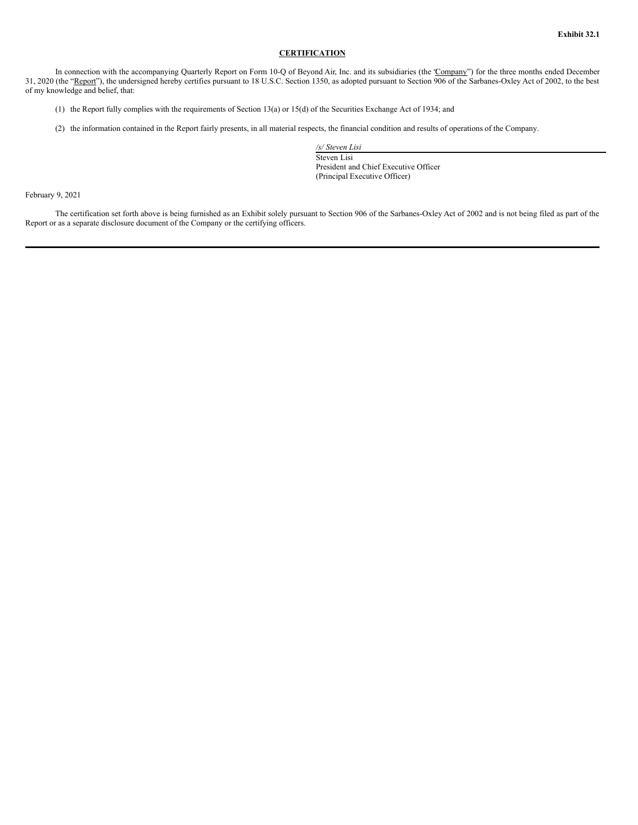<span id="page-24-0"></span>In connection with the accompanying Quarterly Report on Form 10-Q of Beyond Air, Inc. and its subsidiaries (the 'Company") for the three months ended December 31, 2020 (the "Report"), the undersigned hereby certifies pursuant to 18 U.S.C. Section 1350, as adopted pursuant to Section 906 of the Sarbanes-Oxley Act of 2002, to the best of my knowledge and belief, that:

- (1) the Report fully complies with the requirements of Section 13(a) or 15(d) of the Securities Exchange Act of 1934; and
- (2) the information contained in the Report fairly presents, in all material respects, the financial condition and results of operations of the Company.

*/s/ Steven Lisi* Steven Lisi President and Chief Executive Officer (Principal Executive Officer)

February 9, 2021

The certification set forth above is being furnished as an Exhibit solely pursuant to Section 906 of the Sarbanes-Oxley Act of 2002 and is not being filed as part of the Report or as a separate disclosure document of the Company or the certifying officers.